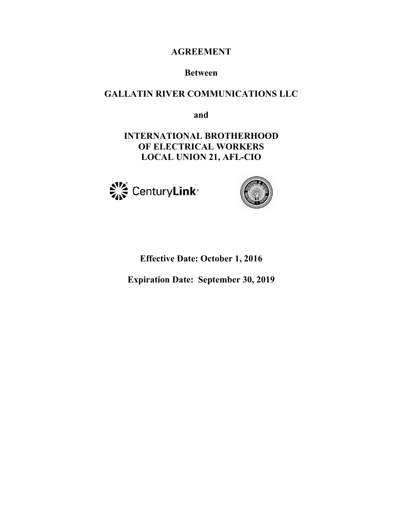# **AGREEMENT**

# **Between**

# **GALLATIN RIVER COMMUNICATIONS LLC**

**and** 

**INTERNATIONAL BROTHERHOOD OF ELECTRICAL WORKERS LOCAL UNION 21, AFL-CIO** 





# **Effective Date: October 1, 2016**

**Expiration Date: September 30, 2019**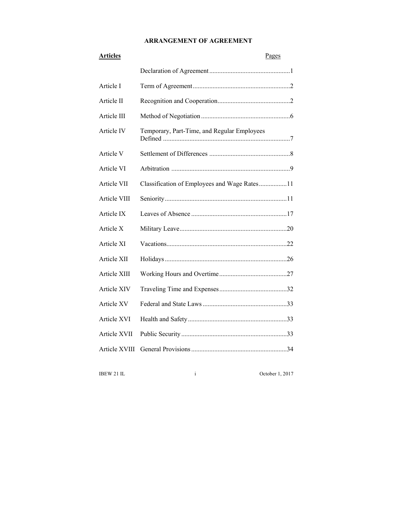# **ARRANGEMENT OF AGREEMENT**

| <b>Articles</b> | Pages                                        |
|-----------------|----------------------------------------------|
|                 |                                              |
| Article I       |                                              |
| Article II      |                                              |
| Article III     |                                              |
| Article IV      | Temporary, Part-Time, and Regular Employees  |
| Article V       |                                              |
| Article VI      |                                              |
| Article VII     | Classification of Employees and Wage Rates11 |
| Article VIII    |                                              |
| Article IX      |                                              |
| Article X       |                                              |
| Article XI      |                                              |
| Article XII     |                                              |
| Article XIII    |                                              |
| Article XIV     |                                              |
| Article XV      |                                              |
| Article XVI     |                                              |
| Article XVII    |                                              |
| Article XVIII   |                                              |

IBEW 21 IL i October 1, 2017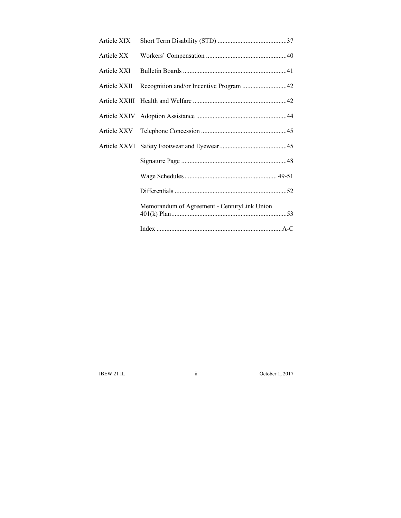| Article XIX |                                             |
|-------------|---------------------------------------------|
| Article XX  |                                             |
| Article XXI |                                             |
|             |                                             |
|             |                                             |
|             |                                             |
|             |                                             |
|             |                                             |
|             |                                             |
|             |                                             |
|             |                                             |
|             | Memorandum of Agreement - CenturyLink Union |
|             |                                             |

IBEW 21 IL ii October 1, 2017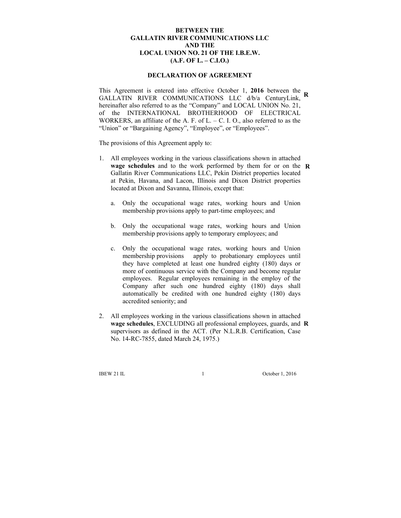### **BETWEEN THE GALLATIN RIVER COMMUNICATIONS LLC AND THE LOCAL UNION NO. 21 OF THE I.B.E.W. (A.F. OF L. – C.I.O.)**

#### **DECLARATION OF AGREEMENT**

This Agreement is entered into effective October 1, **2016** between the **R** GALLATIN RIVER COMMUNICATIONS LLC d/b/a CenturyLink, hereinafter also referred to as the "Company" and LOCAL UNION No. 21, of the INTERNATIONAL BROTHERHOOD OF ELECTRICAL WORKERS, an affiliate of the A. F. of L. – C. I. O., also referred to as the "Union" or "Bargaining Agency", "Employee", or "Employees".

The provisions of this Agreement apply to:

- 1. All employees working in the various classifications shown in attached **wage schedules** and to the work performed by them for or on the **R** Gallatin River Communications LLC, Pekin District properties located at Pekin, Havana, and Lacon, Illinois and Dixon District properties located at Dixon and Savanna, Illinois, except that:
	- a. Only the occupational wage rates, working hours and Union membership provisions apply to part-time employees; and
	- b. Only the occupational wage rates, working hours and Union membership provisions apply to temporary employees; and
	- c. Only the occupational wage rates, working hours and Union membership provisions apply to probationary employees until they have completed at least one hundred eighty (180) days or more of continuous service with the Company and become regular employees. Regular employees remaining in the employ of the Company after such one hundred eighty (180) days shall automatically be credited with one hundred eighty (180) days accredited seniority; and
- 2. All employees working in the various classifications shown in attached **wage schedules**, EXCLUDING all professional employees, guards, and **R**supervisors as defined in the ACT. (Per N.L.R.B. Certification, Case No. 14-RC-7855, dated March 24, 1975.)

IBEW 21 IL 1 October 1, 2016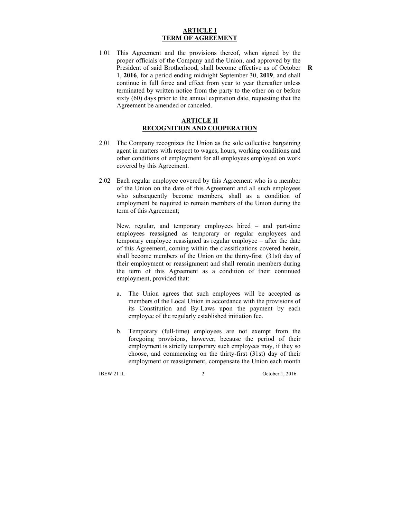#### **ARTICLE I TERM OF AGREEMENT**

1.01 This Agreement and the provisions thereof, when signed by the proper officials of the Company and the Union, and approved by the President of said Brotherhood, shall become effective as of October **R**1, **2016**, for a period ending midnight September 30, **2019**, and shall continue in full force and effect from year to year thereafter unless terminated by written notice from the party to the other on or before sixty (60) days prior to the annual expiration date, requesting that the Agreement be amended or canceled.

### **ARTICLE II RECOGNITION AND COOPERATION**

- 2.01 The Company recognizes the Union as the sole collective bargaining agent in matters with respect to wages, hours, working conditions and other conditions of employment for all employees employed on work covered by this Agreement.
- 2.02 Each regular employee covered by this Agreement who is a member of the Union on the date of this Agreement and all such employees who subsequently become members, shall as a condition of employment be required to remain members of the Union during the term of this Agreement;

 New, regular, and temporary employees hired – and part-time employees reassigned as temporary or regular employees and temporary employee reassigned as regular employee – after the date of this Agreement, coming within the classifications covered herein, shall become members of the Union on the thirty-first (31st) day of their employment or reassignment and shall remain members during the term of this Agreement as a condition of their continued employment, provided that:

- a. The Union agrees that such employees will be accepted as members of the Local Union in accordance with the provisions of its Constitution and By-Laws upon the payment by each employee of the regularly established initiation fee.
- b. Temporary (full-time) employees are not exempt from the foregoing provisions, however, because the period of their employment is strictly temporary such employees may, if they so choose, and commencing on the thirty-first (31st) day of their employment or reassignment, compensate the Union each month

IBEW 21 IL 2 October 1, 2016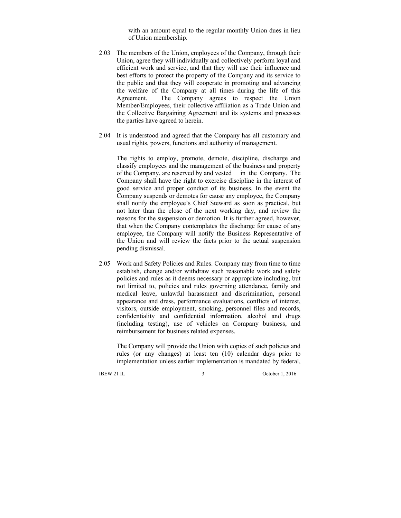with an amount equal to the regular monthly Union dues in lieu of Union membership.

- 2.03 The members of the Union, employees of the Company, through their Union, agree they will individually and collectively perform loyal and efficient work and service, and that they will use their influence and best efforts to protect the property of the Company and its service to the public and that they will cooperate in promoting and advancing the welfare of the Company at all times during the life of this Agreement. The Company agrees to respect the Union Member/Employees, their collective affiliation as a Trade Union and the Collective Bargaining Agreement and its systems and processes the parties have agreed to herein.
- 2.04 It is understood and agreed that the Company has all customary and usual rights, powers, functions and authority of management.

 The rights to employ, promote, demote, discipline, discharge and classify employees and the management of the business and property of the Company, are reserved by and vested in the Company. The Company shall have the right to exercise discipline in the interest of good service and proper conduct of its business. In the event the Company suspends or demotes for cause any employee, the Company shall notify the employee's Chief Steward as soon as practical, but not later than the close of the next working day, and review the reasons for the suspension or demotion. It is further agreed, however, that when the Company contemplates the discharge for cause of any employee, the Company will notify the Business Representative of the Union and will review the facts prior to the actual suspension pending dismissal.

2.05 Work and Safety Policies and Rules. Company may from time to time establish, change and/or withdraw such reasonable work and safety policies and rules as it deems necessary or appropriate including, but not limited to, policies and rules governing attendance, family and medical leave, unlawful harassment and discrimination, personal appearance and dress, performance evaluations, conflicts of interest, visitors, outside employment, smoking, personnel files and records, confidentiality and confidential information, alcohol and drugs (including testing), use of vehicles on Company business, and reimbursement for business related expenses.

 The Company will provide the Union with copies of such policies and rules (or any changes) at least ten (10) calendar days prior to implementation unless earlier implementation is mandated by federal,

IBEW 21 IL 3 October 1, 2016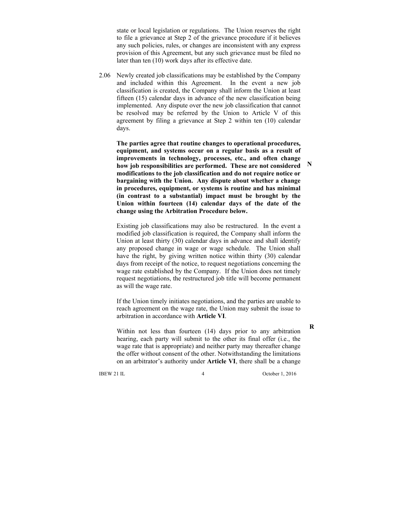state or local legislation or regulations. The Union reserves the right to file a grievance at Step 2 of the grievance procedure if it believes any such policies, rules, or changes are inconsistent with any express provision of this Agreement, but any such grievance must be filed no later than ten (10) work days after its effective date.

2.06 Newly created job classifications may be established by the Company and included within this Agreement. In the event a new job classification is created, the Company shall inform the Union at least fifteen (15) calendar days in advance of the new classification being implemented. Any dispute over the new job classification that cannot be resolved may be referred by the Union to Article V of this agreement by filing a grievance at Step 2 within ten (10) calendar days.

**The parties agree that routine changes to operational procedures, equipment, and systems occur on a regular basis as a result of improvements in technology, processes, etc., and often change how job responsibilities are performed. These are not considered modifications to the job classification and do not require notice or bargaining with the Union. Any dispute about whether a change in procedures, equipment, or systems is routine and has minimal (in contrast to a substantial) impact must be brought by the Union within fourteen (14) calendar days of the date of the change using the Arbitration Procedure below.** 

 Existing job classifications may also be restructured. In the event a modified job classification is required, the Company shall inform the Union at least thirty (30) calendar days in advance and shall identify any proposed change in wage or wage schedule. The Union shall have the right, by giving written notice within thirty (30) calendar days from receipt of the notice, to request negotiations concerning the wage rate established by the Company. If the Union does not timely request negotiations, the restructured job title will become permanent as will the wage rate.

 If the Union timely initiates negotiations, and the parties are unable to reach agreement on the wage rate, the Union may submit the issue to arbitration in accordance with **Article VI**.

 Within not less than fourteen (14) days prior to any arbitration hearing, each party will submit to the other its final offer (i.e., the wage rate that is appropriate) and neither party may thereafter change the offer without consent of the other. Notwithstanding the limitations on an arbitrator's authority under **Article VI**, there shall be a change

IBEW 21 IL 4 October 1, 2016

**R**

**N**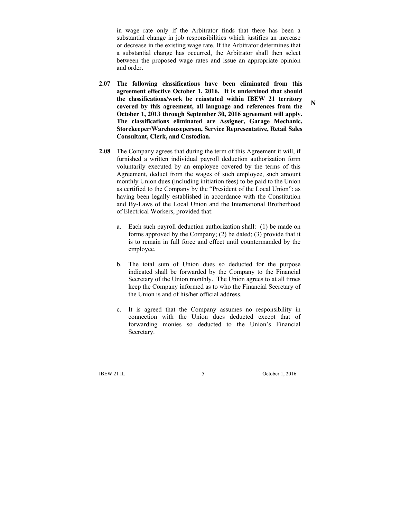in wage rate only if the Arbitrator finds that there has been a substantial change in job responsibilities which justifies an increase or decrease in the existing wage rate. If the Arbitrator determines that a substantial change has occurred, the Arbitrator shall then select between the proposed wage rates and issue an appropriate opinion and order.

- **2.07 The following classifications have been eliminated from this agreement effective October 1, 2016. It is understood that should the classifications/work be reinstated within IBEW 21 territory covered by this agreement, all language and references from the October 1, 2013 through September 30, 2016 agreement will apply. The classifications eliminated are Assigner, Garage Mechanic, Storekeeper/Warehouseperson, Service Representative, Retail Sales Consultant, Clerk, and Custodian.**
- **2.08** The Company agrees that during the term of this Agreement it will, if furnished a written individual payroll deduction authorization form voluntarily executed by an employee covered by the terms of this Agreement, deduct from the wages of such employee, such amount monthly Union dues (including initiation fees) to be paid to the Union as certified to the Company by the "President of the Local Union": as having been legally established in accordance with the Constitution and By-Laws of the Local Union and the International Brotherhood of Electrical Workers, provided that:
	- a. Each such payroll deduction authorization shall: (1) be made on forms approved by the Company; (2) be dated; (3) provide that it is to remain in full force and effect until countermanded by the employee.
	- b. The total sum of Union dues so deducted for the purpose indicated shall be forwarded by the Company to the Financial Secretary of the Union monthly. The Union agrees to at all times keep the Company informed as to who the Financial Secretary of the Union is and of his/her official address.
	- c. It is agreed that the Company assumes no responsibility in connection with the Union dues deducted except that of forwarding monies so deducted to the Union's Financial Secretary.

IBEW 21 IL 5 October 1, 2016

**N**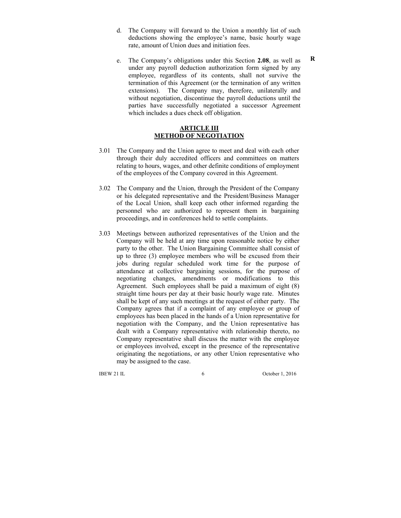- d. The Company will forward to the Union a monthly list of such deductions showing the employee's name, basic hourly wage rate, amount of Union dues and initiation fees.
- e. The Company's obligations under this Section **2.08**, as well as under any payroll deduction authorization form signed by any employee, regardless of its contents, shall not survive the termination of this Agreement (or the termination of any written extensions). The Company may, therefore, unilaterally and without negotiation, discontinue the payroll deductions until the parties have successfully negotiated a successor Agreement which includes a dues check off obligation.

### **ARTICLE III METHOD OF NEGOTIATION**

- 3.01 The Company and the Union agree to meet and deal with each other through their duly accredited officers and committees on matters relating to hours, wages, and other definite conditions of employment of the employees of the Company covered in this Agreement.
- 3.02 The Company and the Union, through the President of the Company or his delegated representative and the President/Business Manager of the Local Union, shall keep each other informed regarding the personnel who are authorized to represent them in bargaining proceedings, and in conferences held to settle complaints.
- 3.03 Meetings between authorized representatives of the Union and the Company will be held at any time upon reasonable notice by either party to the other. The Union Bargaining Committee shall consist of up to three (3) employee members who will be excused from their jobs during regular scheduled work time for the purpose of attendance at collective bargaining sessions, for the purpose of negotiating changes, amendments or modifications to this Agreement. Such employees shall be paid a maximum of eight (8) straight time hours per day at their basic hourly wage rate. Minutes shall be kept of any such meetings at the request of either party. The Company agrees that if a complaint of any employee or group of employees has been placed in the hands of a Union representative for negotiation with the Company, and the Union representative has dealt with a Company representative with relationship thereto, no Company representative shall discuss the matter with the employee or employees involved, except in the presence of the representative originating the negotiations, or any other Union representative who may be assigned to the case.

IBEW 21 IL 6 October 1, 2016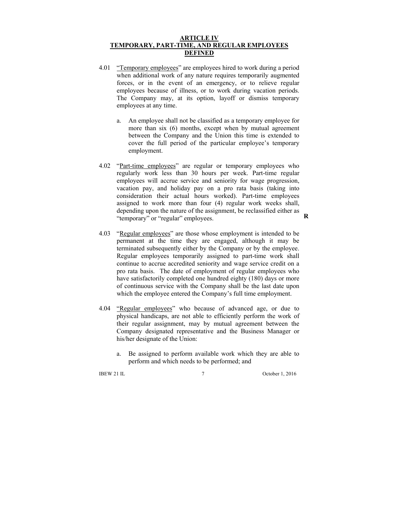### **ARTICLE IV TEMPORARY, PART-TIME, AND REGULAR EMPLOYEES DEFINED**

- 4.01 "Temporary employees" are employees hired to work during a period when additional work of any nature requires temporarily augmented forces, or in the event of an emergency, or to relieve regular employees because of illness, or to work during vacation periods. The Company may, at its option, layoff or dismiss temporary employees at any time.
	- a. An employee shall not be classified as a temporary employee for more than six (6) months, except when by mutual agreement between the Company and the Union this time is extended to cover the full period of the particular employee's temporary employment.
- 4.02 "Part-time employees" are regular or temporary employees who regularly work less than 30 hours per week. Part-time regular employees will accrue service and seniority for wage progression, vacation pay, and holiday pay on a pro rata basis (taking into consideration their actual hours worked). Part-time employees assigned to work more than four (4) regular work weeks shall, depending upon the nature of the assignment, be reclassified either as "temporary" or "regular" employees.
- 4.03 "Regular employees" are those whose employment is intended to be permanent at the time they are engaged, although it may be terminated subsequently either by the Company or by the employee. Regular employees temporarily assigned to part-time work shall continue to accrue accredited seniority and wage service credit on a pro rata basis. The date of employment of regular employees who have satisfactorily completed one hundred eighty (180) days or more of continuous service with the Company shall be the last date upon which the employee entered the Company's full time employment.
- 4.04 "Regular employees" who because of advanced age, or due to physical handicaps, are not able to efficiently perform the work of their regular assignment, may by mutual agreement between the Company designated representative and the Business Manager or his/her designate of the Union:
	- a. Be assigned to perform available work which they are able to perform and which needs to be performed; and

IBEW 21 IL 7 October 1, 2016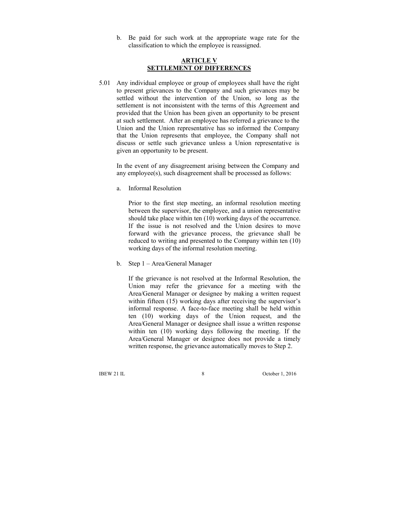b. Be paid for such work at the appropriate wage rate for the classification to which the employee is reassigned.

### **ARTICLE V SETTLEMENT OF DIFFERENCES**

5.01 Any individual employee or group of employees shall have the right to present grievances to the Company and such grievances may be settled without the intervention of the Union, so long as the settlement is not inconsistent with the terms of this Agreement and provided that the Union has been given an opportunity to be present at such settlement. After an employee has referred a grievance to the Union and the Union representative has so informed the Company that the Union represents that employee, the Company shall not discuss or settle such grievance unless a Union representative is given an opportunity to be present.

 In the event of any disagreement arising between the Company and any employee(s), such disagreement shall be processed as follows:

a. Informal Resolution

 Prior to the first step meeting, an informal resolution meeting between the supervisor, the employee, and a union representative should take place within ten (10) working days of the occurrence. If the issue is not resolved and the Union desires to move forward with the grievance process, the grievance shall be reduced to writing and presented to the Company within ten (10) working days of the informal resolution meeting.

b. Step 1 – Area/General Manager

 If the grievance is not resolved at the Informal Resolution, the Union may refer the grievance for a meeting with the Area/General Manager or designee by making a written request within fifteen (15) working days after receiving the supervisor's informal response. A face-to-face meeting shall be held within ten (10) working days of the Union request, and the Area/General Manager or designee shall issue a written response within ten (10) working days following the meeting. If the Area/General Manager or designee does not provide a timely written response, the grievance automatically moves to Step 2.

IBEW 21 IL 8 October 1, 2016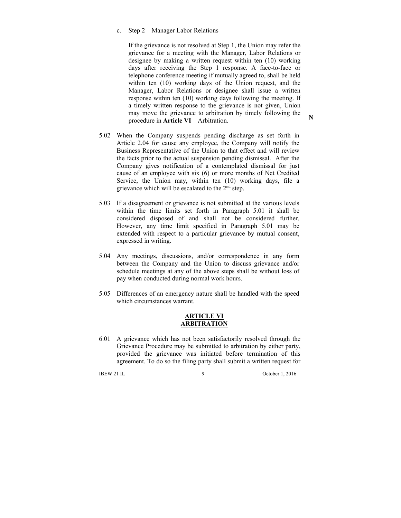#### c. Step 2 – Manager Labor Relations

 If the grievance is not resolved at Step 1, the Union may refer the grievance for a meeting with the Manager, Labor Relations or designee by making a written request within ten (10) working days after receiving the Step 1 response. A face-to-face or telephone conference meeting if mutually agreed to, shall be held within ten (10) working days of the Union request, and the Manager, Labor Relations or designee shall issue a written response within ten (10) working days following the meeting. If a timely written response to the grievance is not given, Union may move the grievance to arbitration by timely following the procedure in **Article VI** – Arbitration.

- 5.02 When the Company suspends pending discharge as set forth in Article 2.04 for cause any employee, the Company will notify the Business Representative of the Union to that effect and will review the facts prior to the actual suspension pending dismissal. After the Company gives notification of a contemplated dismissal for just cause of an employee with six (6) or more months of Net Credited Service, the Union may, within ten (10) working days, file a grievance which will be escalated to the 2nd step.
- 5.03 If a disagreement or grievance is not submitted at the various levels within the time limits set forth in Paragraph 5.01 it shall be considered disposed of and shall not be considered further. However, any time limit specified in Paragraph 5.01 may be extended with respect to a particular grievance by mutual consent, expressed in writing.
- 5.04 Any meetings, discussions, and/or correspondence in any form between the Company and the Union to discuss grievance and/or schedule meetings at any of the above steps shall be without loss of pay when conducted during normal work hours.
- 5.05 Differences of an emergency nature shall be handled with the speed which circumstances warrant.

#### **ARTICLE VI ARBITRATION**

6.01 A grievance which has not been satisfactorily resolved through the Grievance Procedure may be submitted to arbitration by either party, provided the grievance was initiated before termination of this agreement. To do so the filing party shall submit a written request for

IBEW 21 IL 9 October 1, 2016

**N**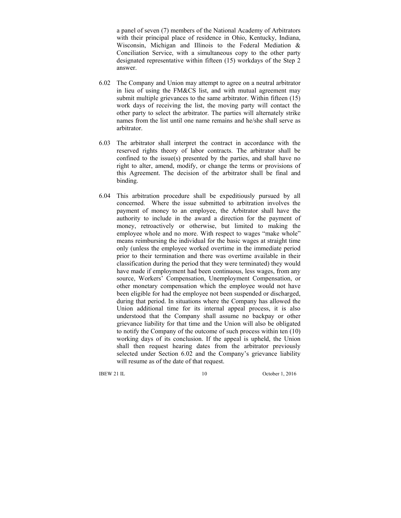a panel of seven (7) members of the National Academy of Arbitrators with their principal place of residence in Ohio, Kentucky, Indiana, Wisconsin, Michigan and Illinois to the Federal Mediation & Conciliation Service, with a simultaneous copy to the other party designated representative within fifteen (15) workdays of the Step 2 answer.

- 6.02 The Company and Union may attempt to agree on a neutral arbitrator in lieu of using the FM&CS list, and with mutual agreement may submit multiple grievances to the same arbitrator. Within fifteen (15) work days of receiving the list, the moving party will contact the other party to select the arbitrator. The parties will alternately strike names from the list until one name remains and he/she shall serve as arbitrator.
- 6.03 The arbitrator shall interpret the contract in accordance with the reserved rights theory of labor contracts. The arbitrator shall be confined to the issue(s) presented by the parties, and shall have no right to alter, amend, modify, or change the terms or provisions of this Agreement. The decision of the arbitrator shall be final and binding.
- 6.04 This arbitration procedure shall be expeditiously pursued by all concerned. Where the issue submitted to arbitration involves the payment of money to an employee, the Arbitrator shall have the authority to include in the award a direction for the payment of money, retroactively or otherwise, but limited to making the employee whole and no more. With respect to wages "make whole" means reimbursing the individual for the basic wages at straight time only (unless the employee worked overtime in the immediate period prior to their termination and there was overtime available in their classification during the period that they were terminated) they would have made if employment had been continuous, less wages, from any source, Workers' Compensation, Unemployment Compensation, or other monetary compensation which the employee would not have been eligible for had the employee not been suspended or discharged, during that period. In situations where the Company has allowed the Union additional time for its internal appeal process, it is also understood that the Company shall assume no backpay or other grievance liability for that time and the Union will also be obligated to notify the Company of the outcome of such process within ten (10) working days of its conclusion. If the appeal is upheld, the Union shall then request hearing dates from the arbitrator previously selected under Section 6.02 and the Company's grievance liability will resume as of the date of that request.

IBEW 21 IL 10 October 1, 2016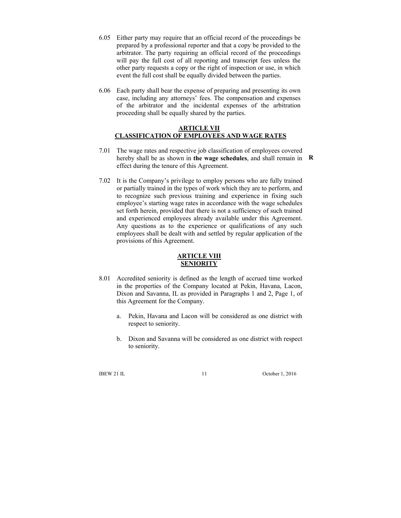- 6.05 Either party may require that an official record of the proceedings be prepared by a professional reporter and that a copy be provided to the arbitrator. The party requiring an official record of the proceedings will pay the full cost of all reporting and transcript fees unless the other party requests a copy or the right of inspection or use, in which event the full cost shall be equally divided between the parties.
- 6.06 Each party shall bear the expense of preparing and presenting its own case, including any attorneys' fees. The compensation and expenses of the arbitrator and the incidental expenses of the arbitration proceeding shall be equally shared by the parties.

### **ARTICLE VII CLASSIFICATION OF EMPLOYEES AND WAGE RATES**

- 7.01 The wage rates and respective job classification of employees covered hereby shall be as shown in **the wage schedules**, and shall remain in **R**effect during the tenure of this Agreement.
- 7.02 It is the Company's privilege to employ persons who are fully trained or partially trained in the types of work which they are to perform, and to recognize such previous training and experience in fixing such employee's starting wage rates in accordance with the wage schedules set forth herein, provided that there is not a sufficiency of such trained and experienced employees already available under this Agreement. Any questions as to the experience or qualifications of any such employees shall be dealt with and settled by regular application of the provisions of this Agreement.

### **ARTICLE VIII SENIORITY**

- 8.01 Accredited seniority is defined as the length of accrued time worked in the properties of the Company located at Pekin, Havana, Lacon, Dixon and Savanna, IL as provided in Paragraphs 1 and 2, Page 1, of this Agreement for the Company.
	- a. Pekin, Havana and Lacon will be considered as one district with respect to seniority.
	- b. Dixon and Savanna will be considered as one district with respect to seniority.

IBEW 21 IL 11 October 1, 2016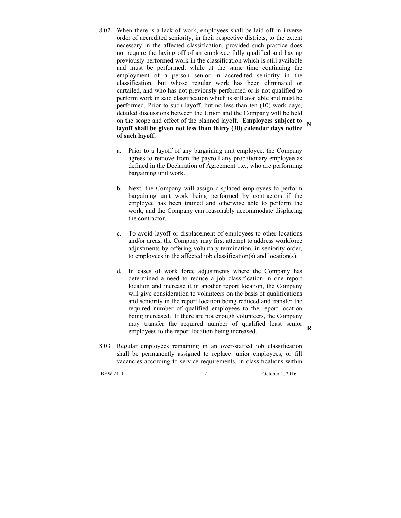- 8.02 When there is a lack of work, employees shall be laid off in inverse order of accredited seniority, in their respective districts, to the extent necessary in the affected classification, provided such practice does not require the laying off of an employee fully qualified and having previously performed work in the classification which is still available and must be performed; while at the same time continuing the employment of a person senior in accredited seniority in the classification, but whose regular work has been eliminated or curtailed, and who has not previously performed or is not qualified to perform work in said classification which is still available and must be performed. Prior to such layoff, but no less than ten (10) work days, detailed discussions between the Union and the Company will be held on the scope and effect of the planned layoff. **Employees subject to layoff shall be given not less than thirty (30) calendar days notice of such layoff. N** 
	- a. Prior to a layoff of any bargaining unit employee, the Company agrees to remove from the payroll any probationary employee as defined in the Declaration of Agreement 1.c., who are performing bargaining unit work.
	- b. Next, the Company will assign displaced employees to perform bargaining unit work being performed by contractors if the employee has been trained and otherwise able to perform the work, and the Company can reasonably accommodate displacing the contractor.
	- c. To avoid layoff or displacement of employees to other locations and/or areas, the Company may first attempt to address workforce adjustments by offering voluntary termination, in seniority order, to employees in the affected job classification(s) and location(s).
	- d. In cases of work force adjustments where the Company has determined a need to reduce a job classification in one report location and increase it in another report location, the Company will give consideration to volunteers on the basis of qualifications and seniority in the report location being reduced and transfer the required number of qualified employees to the report location being increased. If there are not enough volunteers, the Company may transfer the required number of qualified least senior employees to the report location being increased.
- 8.03 Regular employees remaining in an over-staffed job classification shall be permanently assigned to replace junior employees, or fill vacancies according to service requirements, in classifications within

IBEW 21 IL 12 October 1, 2016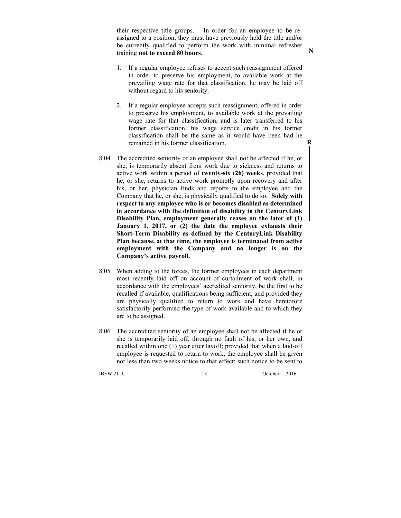their respective title groups. In order for an employee to be reassigned to a position, they must have previously held the title and/or be currently qualified to perform the work with minimal refresher training **not to exceed 80 hours.** 

- 1. If a regular employee refuses to accept such reassignment offered in order to preserve his employment, to available work at the prevailing wage rate for that classification, he may be laid off without regard to his seniority.
- 2. If a regular employee accepts such reassignment, offered in order to preserve his employment, to available work at the prevailing wage rate for that classification, and is later transferred to his former classification, his wage service credit in his former classification shall be the same as it would have been had he remained in his former classification.
- 8.04 The accredited seniority of an employee shall not be affected if he, or she, is temporarily absent from work due to sickness and returns to active work within a period of **twenty-six (26) weeks**, provided that he, or she, returns to active work promptly upon recovery and after his, or her, physician finds and reports to the employee and the Company that he, or she, is physically qualified to do so. **Solely with respect to any employee who is or becomes disabled as determined in accordance with the definition of disability in the CenturyLink Disability Plan, employment generally ceases on the later of (1) January 1, 2017, or (2) the date the employee exhausts their Short-Term Disability as defined by the CenturyLink Disability Plan because, at that time, the employee is terminated from active employment with the Company and no longer is on the Company's active payroll.**
- 8.05 When adding to the forces, the former employees in each department most recently laid off on account of curtailment of work shall, in accordance with the employees' accredited seniority, be the first to be recalled if available, qualifications being sufficient, and provided they are physically qualified to return to work and have heretofore satisfactorily performed the type of work available and to which they are to be assigned.
- 8.06 The accredited seniority of an employee shall not be affected if he or she is temporarily laid off, through no fault of his, or her own, and recalled within one (1) year after layoff; provided that when a laid-off employee is requested to return to work, the employee shall be given not less than two weeks notice to that effect; such notice to be sent to

IBEW 21 IL 13 October 1, 2016

**R** 

**N**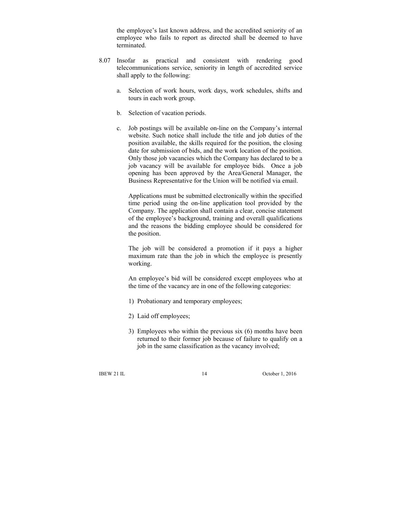the employee's last known address, and the accredited seniority of an employee who fails to report as directed shall be deemed to have terminated.

- 8.07 Insofar as practical and consistent with rendering good telecommunications service, seniority in length of accredited service shall apply to the following:
	- a. Selection of work hours, work days, work schedules, shifts and tours in each work group.
	- b. Selection of vacation periods.
	- c. Job postings will be available on-line on the Company's internal website. Such notice shall include the title and job duties of the position available, the skills required for the position, the closing date for submission of bids, and the work location of the position. Only those job vacancies which the Company has declared to be a job vacancy will be available for employee bids. Once a job opening has been approved by the Area/General Manager, the Business Representative for the Union will be notified via email.

 Applications must be submitted electronically within the specified time period using the on-line application tool provided by the Company. The application shall contain a clear, concise statement of the employee's background, training and overall qualifications and the reasons the bidding employee should be considered for the position.

 The job will be considered a promotion if it pays a higher maximum rate than the job in which the employee is presently working.

 An employee's bid will be considered except employees who at the time of the vacancy are in one of the following categories:

- 1) Probationary and temporary employees;
- 2) Laid off employees;
- 3) Employees who within the previous six (6) months have been returned to their former job because of failure to qualify on a job in the same classification as the vacancy involved;

IBEW 21 IL 14 October 1, 2016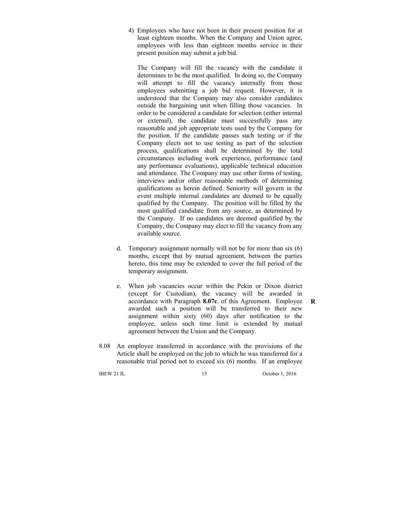4) Employees who have not been in their present position for at least eighteen months. When the Company and Union agree, employees with less than eighteen months service in their present position may submit a job bid.

 The Company will fill the vacancy with the candidate it determines to be the most qualified. In doing so, the Company will attempt to fill the vacancy internally from those employees submitting a job bid request. However, it is understood that the Company may also consider candidates outside the bargaining unit when filling those vacancies. In order to be considered a candidate for selection (either internal or external), the candidate must successfully pass any reasonable and job appropriate tests used by the Company for the position. If the candidate passes such testing or if the Company elects not to use testing as part of the selection process, qualifications shall be determined by the total circumstances including work experience, performance (and any performance evaluations), applicable technical education and attendance. The Company may use other forms of testing, interviews and/or other reasonable methods of determining qualifications as herein defined. Seniority will govern in the event multiple internal candidates are deemed to be equally qualified by the Company. The position will be filled by the most qualified candidate from any source, as determined by the Company. If no candidates are deemed qualified by the Company, the Company may elect to fill the vacancy from any available source.

- d. Temporary assignment normally will not be for more than six (6) months, except that by mutual agreement, between the parties hereto, this time may be extended to cover the full period of the temporary assignment.
- e. When job vacancies occur within the Pekin or Dixon district (except for Custodian), the vacancy will be awarded in accordance with Paragraph **8.07c**. of this Agreement. Employee awarded such a position will be transferred to their new assignment within sixty (60) days after notification to the employee, unless such time limit is extended by mutual agreement between the Union and the Company.
- 8.08 An employee transferred in accordance with the provisions of the Article shall be employed on the job to which he was transferred for a reasonable trial period not to exceed six (6) months. If an employee

**IBEW 21 IL 15** October 1, 2016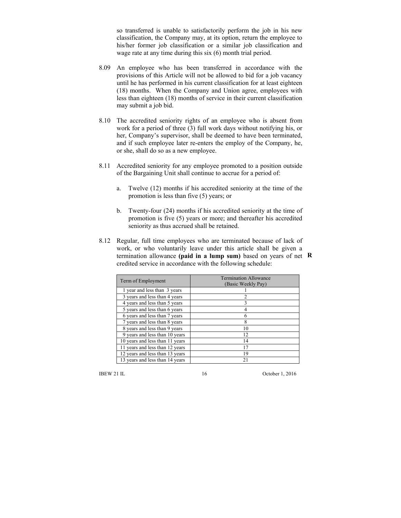so transferred is unable to satisfactorily perform the job in his new classification, the Company may, at its option, return the employee to his/her former job classification or a similar job classification and wage rate at any time during this six (6) month trial period.

- 8.09 An employee who has been transferred in accordance with the provisions of this Article will not be allowed to bid for a job vacancy until he has performed in his current classification for at least eighteen (18) months. When the Company and Union agree, employees with less than eighteen (18) months of service in their current classification may submit a job bid.
- 8.10 The accredited seniority rights of an employee who is absent from work for a period of three (3) full work days without notifying his, or her, Company's supervisor, shall be deemed to have been terminated, and if such employee later re-enters the employ of the Company, he, or she, shall do so as a new employee.
- 8.11 Accredited seniority for any employee promoted to a position outside of the Bargaining Unit shall continue to accrue for a period of:
	- a. Twelve (12) months if his accredited seniority at the time of the promotion is less than five (5) years; or
	- b. Twenty-four (24) months if his accredited seniority at the time of promotion is five (5) years or more; and thereafter his accredited seniority as thus accrued shall be retained.
- 8.12 Regular, full time employees who are terminated because of lack of work, or who voluntarily leave under this article shall be given a termination allowance **(paid in a lump sum)** based on years of net **R**credited service in accordance with the following schedule:

| Term of Employment              | <b>Termination Allowance</b><br>(Basic Weekly Pay) |
|---------------------------------|----------------------------------------------------|
| 1 year and less than 3 years    |                                                    |
| 3 years and less than 4 years   | $\overline{c}$                                     |
| 4 years and less than 5 years   |                                                    |
| 5 years and less than 6 years   |                                                    |
| 6 years and less than 7 years   | 6                                                  |
| 7 years and less than 8 years   | 8                                                  |
| 8 years and less than 9 years   | 10                                                 |
| 9 years and less than 10 years  | 12                                                 |
| 10 years and less than 11 years | 14                                                 |
| 11 years and less than 12 years | 17                                                 |
| 12 years and less than 13 years | 19                                                 |
| 13 years and less than 14 years | 21                                                 |

IBEW 21 IL 16 October 1, 2016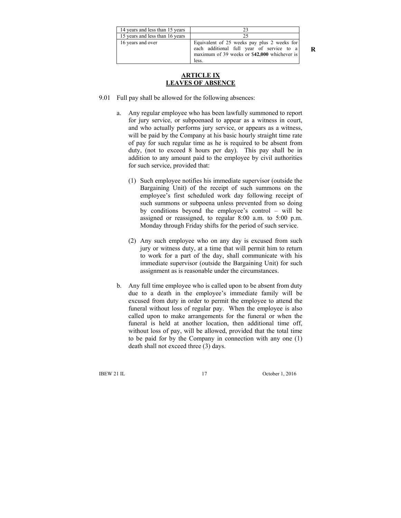| 14 years and less than 15 years |                                                                                                                                                   |
|---------------------------------|---------------------------------------------------------------------------------------------------------------------------------------------------|
| 15 years and less than 16 years |                                                                                                                                                   |
| 16 years and over               | Equivalent of 25 weeks pay plus 2 weeks for<br>each additional full year of service to a<br>maximum of 39 weeks or \$42,000 whichever is<br>less. |

#### **ARTICLE IX LEAVES OF ABSENCE**

- 9.01 Full pay shall be allowed for the following absences:
	- a. Any regular employee who has been lawfully summoned to report for jury service, or subpoenaed to appear as a witness in court, and who actually performs jury service, or appears as a witness, will be paid by the Company at his basic hourly straight time rate of pay for such regular time as he is required to be absent from duty, (not to exceed 8 hours per day). This pay shall be in addition to any amount paid to the employee by civil authorities for such service, provided that:
		- (1) Such employee notifies his immediate supervisor (outside the Bargaining Unit) of the receipt of such summons on the employee's first scheduled work day following receipt of such summons or subpoena unless prevented from so doing by conditions beyond the employee's control – will be assigned or reassigned, to regular 8:00 a.m. to 5:00 p.m. Monday through Friday shifts for the period of such service.
		- (2) Any such employee who on any day is excused from such jury or witness duty, at a time that will permit him to return to work for a part of the day, shall communicate with his immediate supervisor (outside the Bargaining Unit) for such assignment as is reasonable under the circumstances.
	- b. Any full time employee who is called upon to be absent from duty due to a death in the employee's immediate family will be excused from duty in order to permit the employee to attend the funeral without loss of regular pay. When the employee is also called upon to make arrangements for the funeral or when the funeral is held at another location, then additional time off, without loss of pay, will be allowed, provided that the total time to be paid for by the Company in connection with any one (1) death shall not exceed three (3) days.

IBEW 21 IL 17 October 1, 2016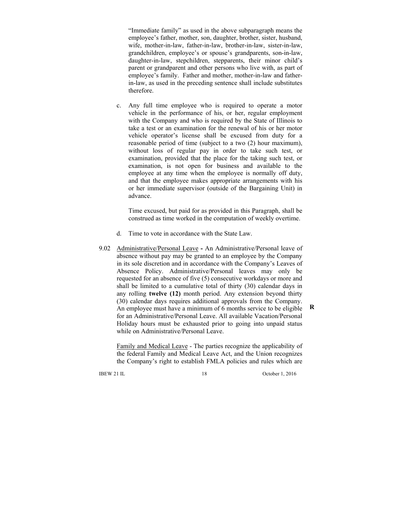"Immediate family" as used in the above subparagraph means the employee's father, mother, son, daughter, brother, sister, husband, wife, mother-in-law, father-in-law, brother-in-law, sister-in-law, grandchildren, employee's or spouse's grandparents, son-in-law, daughter-in-law, stepchildren, stepparents, their minor child's parent or grandparent and other persons who live with, as part of employee's family. Father and mother, mother-in-law and fatherin-law, as used in the preceding sentence shall include substitutes therefore.

c. Any full time employee who is required to operate a motor vehicle in the performance of his, or her, regular employment with the Company and who is required by the State of Illinois to take a test or an examination for the renewal of his or her motor vehicle operator's license shall be excused from duty for a reasonable period of time (subject to a two (2) hour maximum), without loss of regular pay in order to take such test, or examination, provided that the place for the taking such test, or examination, is not open for business and available to the employee at any time when the employee is normally off duty, and that the employee makes appropriate arrangements with his or her immediate supervisor (outside of the Bargaining Unit) in advance.

 Time excused, but paid for as provided in this Paragraph, shall be construed as time worked in the computation of weekly overtime.

- d. Time to vote in accordance with the State Law.
- 9.02 Administrative/Personal LeaveAn Administrative/Personal leave of absence without pay may be granted to an employee by the Company in its sole discretion and in accordance with the Company's Leaves of Absence Policy. Administrative/Personal leaves may only be requested for an absence of five (5) consecutive workdays or more and shall be limited to a cumulative total of thirty (30) calendar days in any rolling **twelve (12)** month period. Any extension beyond thirty (30) calendar days requires additional approvals from the Company. An employee must have a minimum of 6 months service to be eligible for an Administrative/Personal Leave. All available Vacation/Personal Holiday hours must be exhausted prior to going into unpaid status while on Administrative/Personal Leave.

 Family and Medical Leave - The parties recognize the applicability of the federal Family and Medical Leave Act, and the Union recognizes the Company's right to establish FMLA policies and rules which are

IBEW 21 IL 18 October 1, 2016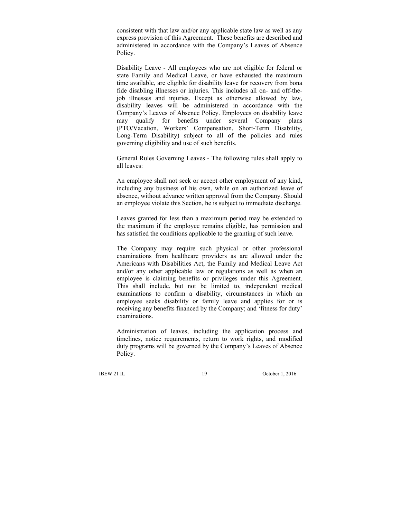consistent with that law and/or any applicable state law as well as any express provision of this Agreement. These benefits are described and administered in accordance with the Company's Leaves of Absence Policy.

 Disability Leave - All employees who are not eligible for federal or state Family and Medical Leave, or have exhausted the maximum time available, are eligible for disability leave for recovery from bona fide disabling illnesses or injuries. This includes all on- and off-thejob illnesses and injuries. Except as otherwise allowed by law, disability leaves will be administered in accordance with the Company's Leaves of Absence Policy. Employees on disability leave may qualify for benefits under several Company plans (PTO/Vacation, Workers' Compensation, Short-Term Disability, Long-Term Disability) subject to all of the policies and rules governing eligibility and use of such benefits.

 General Rules Governing Leaves - The following rules shall apply to all leaves:

 An employee shall not seek or accept other employment of any kind, including any business of his own, while on an authorized leave of absence, without advance written approval from the Company. Should an employee violate this Section, he is subject to immediate discharge.

 Leaves granted for less than a maximum period may be extended to the maximum if the employee remains eligible, has permission and has satisfied the conditions applicable to the granting of such leave.

 The Company may require such physical or other professional examinations from healthcare providers as are allowed under the Americans with Disabilities Act, the Family and Medical Leave Act and/or any other applicable law or regulations as well as when an employee is claiming benefits or privileges under this Agreement. This shall include, but not be limited to, independent medical examinations to confirm a disability, circumstances in which an employee seeks disability or family leave and applies for or is receiving any benefits financed by the Company; and 'fitness for duty' examinations.

 Administration of leaves, including the application process and timelines, notice requirements, return to work rights, and modified duty programs will be governed by the Company's Leaves of Absence Policy.

IBEW 21 IL 19 October 1, 2016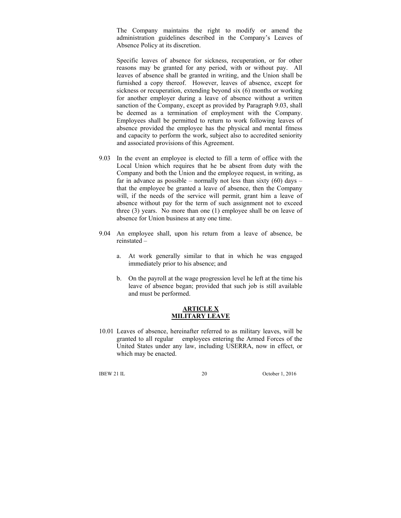The Company maintains the right to modify or amend the administration guidelines described in the Company's Leaves of Absence Policy at its discretion.

 Specific leaves of absence for sickness, recuperation, or for other reasons may be granted for any period, with or without pay. All leaves of absence shall be granted in writing, and the Union shall be furnished a copy thereof. However, leaves of absence, except for sickness or recuperation, extending beyond six (6) months or working for another employer during a leave of absence without a written sanction of the Company, except as provided by Paragraph 9.03, shall be deemed as a termination of employment with the Company. Employees shall be permitted to return to work following leaves of absence provided the employee has the physical and mental fitness and capacity to perform the work, subject also to accredited seniority and associated provisions of this Agreement.

- 9.03 In the event an employee is elected to fill a term of office with the Local Union which requires that he be absent from duty with the Company and both the Union and the employee request, in writing, as far in advance as possible – normally not less than sixty  $(60)$  days – that the employee be granted a leave of absence, then the Company will, if the needs of the service will permit, grant him a leave of absence without pay for the term of such assignment not to exceed three (3) years. No more than one (1) employee shall be on leave of absence for Union business at any one time.
- 9.04 An employee shall, upon his return from a leave of absence, be reinstated –
	- a. At work generally similar to that in which he was engaged immediately prior to his absence; and
	- b. On the payroll at the wage progression level he left at the time his leave of absence began; provided that such job is still available and must be performed.

#### **ARTICLE X MILITARY LEAVE**

10.01 Leaves of absence, hereinafter referred to as military leaves, will be granted to all regular employees entering the Armed Forces of the United States under any law, including USERRA, now in effect, or which may be enacted.

IBEW 21 IL 20 October 1, 2016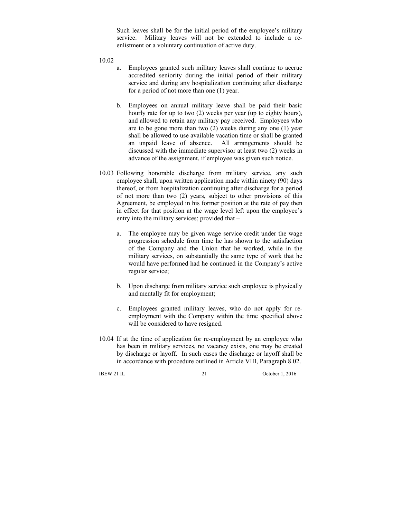Such leaves shall be for the initial period of the employee's military service. Military leaves will not be extended to include a reenlistment or a voluntary continuation of active duty.

10.02

- a. Employees granted such military leaves shall continue to accrue accredited seniority during the initial period of their military service and during any hospitalization continuing after discharge for a period of not more than one (1) year.
- b. Employees on annual military leave shall be paid their basic hourly rate for up to two (2) weeks per year (up to eighty hours), and allowed to retain any military pay received. Employees who are to be gone more than two (2) weeks during any one (1) year shall be allowed to use available vacation time or shall be granted an unpaid leave of absence. All arrangements should be discussed with the immediate supervisor at least two (2) weeks in advance of the assignment, if employee was given such notice.
- 10.03 Following honorable discharge from military service, any such employee shall, upon written application made within ninety (90) days thereof, or from hospitalization continuing after discharge for a period of not more than two (2) years, subject to other provisions of this Agreement, be employed in his former position at the rate of pay then in effect for that position at the wage level left upon the employee's entry into the military services; provided that –
	- a. The employee may be given wage service credit under the wage progression schedule from time he has shown to the satisfaction of the Company and the Union that he worked, while in the military services, on substantially the same type of work that he would have performed had he continued in the Company's active regular service;
	- b. Upon discharge from military service such employee is physically and mentally fit for employment;
	- c. Employees granted military leaves, who do not apply for reemployment with the Company within the time specified above will be considered to have resigned.
- 10.04 If at the time of application for re-employment by an employee who has been in military services, no vacancy exists, one may be created by discharge or layoff. In such cases the discharge or layoff shall be in accordance with procedure outlined in Article VIII, Paragraph 8.02.

IBEW 21 IL 21 October 1, 2016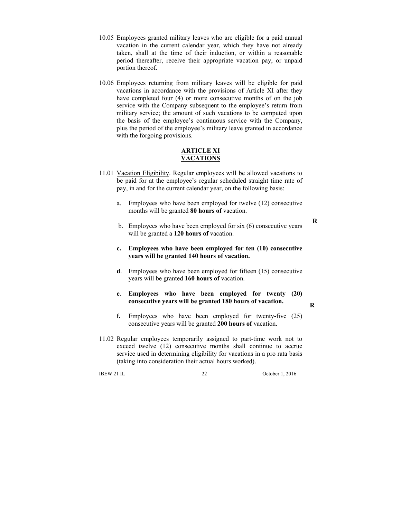- 10.05 Employees granted military leaves who are eligible for a paid annual vacation in the current calendar year, which they have not already taken, shall at the time of their induction, or within a reasonable period thereafter, receive their appropriate vacation pay, or unpaid portion thereof.
- 10.06 Employees returning from military leaves will be eligible for paid vacations in accordance with the provisions of Article XI after they have completed four (4) or more consecutive months of on the job service with the Company subsequent to the employee's return from military service; the amount of such vacations to be computed upon the basis of the employee's continuous service with the Company, plus the period of the employee's military leave granted in accordance with the forgoing provisions.

#### **ARTICLE XI VACATIONS**

- 11.01 Vacation Eligibility. Regular employees will be allowed vacations to be paid for at the employee's regular scheduled straight time rate of pay, in and for the current calendar year, on the following basis:
	- a. Employees who have been employed for twelve (12) consecutive months will be granted **80 hours of** vacation.
	- b. Employees who have been employed for six (6) consecutive years will be granted a **120 hours of** vacation.
	- **c. Employees who have been employed for ten (10) consecutive years will be granted 140 hours of vacation.**
	- **d**. Employees who have been employed for fifteen (15) consecutive years will be granted **160 hours of** vacation.

#### **e**. **Employees who have been employed for twenty (20) consecutive years will be granted 180 hours of vacation.**

**R**

**R**

- **f.** Employees who have been employed for twenty-five (25) consecutive years will be granted **200 hours of** vacation.
- 11.02 Regular employees temporarily assigned to part-time work not to exceed twelve (12) consecutive months shall continue to accrue service used in determining eligibility for vacations in a pro rata basis (taking into consideration their actual hours worked).

IBEW 21 IL 22 October 1, 2016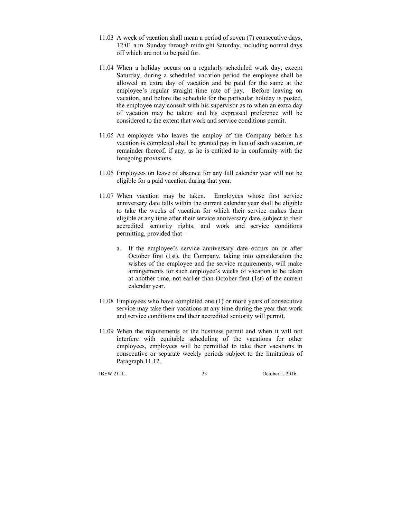- 11.03 A week of vacation shall mean a period of seven (7) consecutive days, 12:01 a.m. Sunday through midnight Saturday, including normal days off which are not to be paid for.
- 11.04 When a holiday occurs on a regularly scheduled work day, except Saturday, during a scheduled vacation period the employee shall be allowed an extra day of vacation and be paid for the same at the employee's regular straight time rate of pay. Before leaving on vacation, and before the schedule for the particular holiday is posted, the employee may consult with his supervisor as to when an extra day of vacation may be taken; and his expressed preference will be considered to the extent that work and service conditions permit.
- 11.05 An employee who leaves the employ of the Company before his vacation is completed shall be granted pay in lieu of such vacation, or remainder thereof, if any, as he is entitled to in conformity with the foregoing provisions.
- 11.06 Employees on leave of absence for any full calendar year will not be eligible for a paid vacation during that year.
- 11.07 When vacation may be taken. Employees whose first service anniversary date falls within the current calendar year shall be eligible to take the weeks of vacation for which their service makes them eligible at any time after their service anniversary date, subject to their accredited seniority rights, and work and service conditions permitting, provided that –
	- a. If the employee's service anniversary date occurs on or after October first (1st), the Company, taking into consideration the wishes of the employee and the service requirements, will make arrangements for such employee's weeks of vacation to be taken at another time, not earlier than October first (1st) of the current calendar year.
- 11.08 Employees who have completed one (1) or more years of consecutive service may take their vacations at any time during the year that work and service conditions and their accredited seniority will permit.
- 11.09 When the requirements of the business permit and when it will not interfere with equitable scheduling of the vacations for other employees, employees will be permitted to take their vacations in consecutive or separate weekly periods subject to the limitations of Paragraph 11.12.

IBEW 21 IL 23 October 1, 2016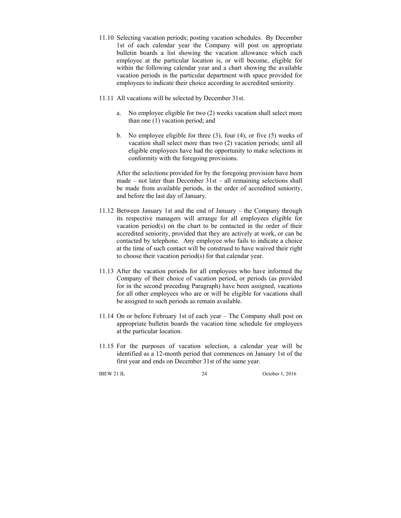- 11.10 Selecting vacation periods; posting vacation schedules. By December 1st of each calendar year the Company will post on appropriate bulletin boards a list showing the vacation allowance which each employee at the particular location is, or will become, eligible for within the following calendar year and a chart showing the available vacation periods in the particular department with space provided for employees to indicate their choice according to accredited seniority.
- 11.11 All vacations will be selected by December 31st.
	- a. No employee eligible for two (2) weeks vacation shall select more than one (1) vacation period; and
	- b. No employee eligible for three (3), four (4), or five (5) weeks of vacation shall select more than two (2) vacation periods; until all eligible employees have had the opportunity to make selections in conformity with the foregoing provisions.

 After the selections provided for by the foregoing provision have been made – not later than December 31st – all remaining selections shall be made from available periods, in the order of accredited seniority, and before the last day of January.

- 11.12 Between January 1st and the end of January the Company through its respective managers will arrange for all employees eligible for vacation period(s) on the chart to be contacted in the order of their accredited seniority, provided that they are actively at work, or can be contacted by telephone. Any employee who fails to indicate a choice at the time of such contact will be construed to have waived their right to choose their vacation period(s) for that calendar year.
- 11.13 After the vacation periods for all employees who have informed the Company of their choice of vacation period, or periods (as provided for in the second preceding Paragraph) have been assigned, vacations for all other employees who are or will be eligible for vacations shall be assigned to such periods as remain available.
- 11.14 On or before February 1st of each year The Company shall post on appropriate bulletin boards the vacation time schedule for employees at the particular location.
- 11.15 For the purposes of vacation selection, a calendar year will be identified as a 12-month period that commences on January 1st of the first year and ends on December 31st of the same year.

IBEW 21 IL 24 October 1, 2016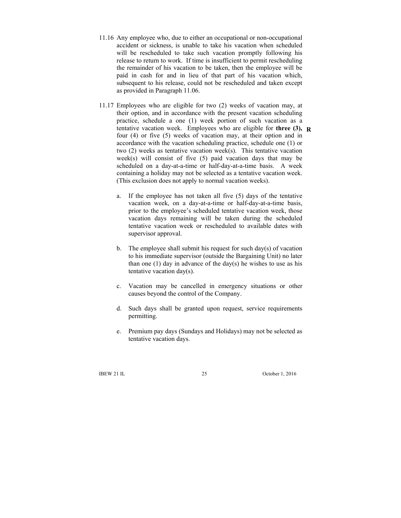- 11.16 Any employee who, due to either an occupational or non-occupational accident or sickness, is unable to take his vacation when scheduled will be rescheduled to take such vacation promptly following his release to return to work. If time is insufficient to permit rescheduling the remainder of his vacation to be taken, then the employee will be paid in cash for and in lieu of that part of his vacation which, subsequent to his release, could not be rescheduled and taken except as provided in Paragraph 11.06.
- 11.17 Employees who are eligible for two (2) weeks of vacation may, at their option, and in accordance with the present vacation scheduling practice, schedule a one (1) week portion of such vacation as a tentative vacation week. Employees who are eligible for **three (3), R**four (4) or five (5) weeks of vacation may, at their option and in accordance with the vacation scheduling practice, schedule one (1) or two (2) weeks as tentative vacation week(s). This tentative vacation week(s) will consist of five (5) paid vacation days that may be scheduled on a day-at-a-time or half-day-at-a-time basis. A week containing a holiday may not be selected as a tentative vacation week. (This exclusion does not apply to normal vacation weeks).
	- a. If the employee has not taken all five (5) days of the tentative vacation week, on a day-at-a-time or half-day-at-a-time basis, prior to the employee's scheduled tentative vacation week, those vacation days remaining will be taken during the scheduled tentative vacation week or rescheduled to available dates with supervisor approval.
	- b. The employee shall submit his request for such day(s) of vacation to his immediate supervisor (outside the Bargaining Unit) no later than one  $(1)$  day in advance of the day(s) he wishes to use as his tentative vacation day(s).
	- c. Vacation may be cancelled in emergency situations or other causes beyond the control of the Company.
	- d. Such days shall be granted upon request, service requirements permitting.
	- e. Premium pay days (Sundays and Holidays) may not be selected as tentative vacation days.

IBEW 21 IL 25 October 1, 2016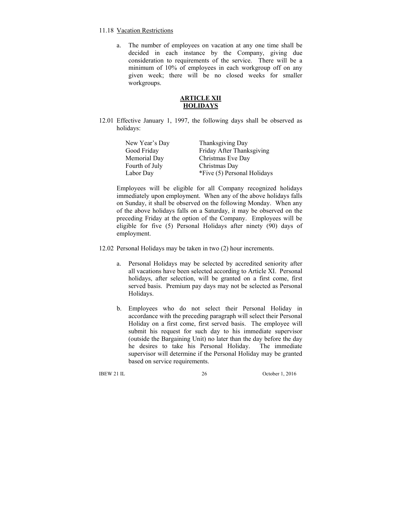#### 11.18 Vacation Restrictions

a. The number of employees on vacation at any one time shall be decided in each instance by the Company, giving due consideration to requirements of the service. There will be a minimum of 10% of employees in each workgroup off on any given week; there will be no closed weeks for smaller workgroups.

### **ARTICLE XII HOLIDAYS**

12.01 Effective January 1, 1997, the following days shall be observed as holidays:

| New Year's Day | Thanksgiving Day            |
|----------------|-----------------------------|
| Good Friday    | Friday After Thanksgiving   |
| Memorial Day   | Christmas Eve Day           |
| Fourth of July | Christmas Day               |
| Labor Day      | *Five (5) Personal Holidays |

Employees will be eligible for all Company recognized holidays immediately upon employment. When any of the above holidays falls on Sunday, it shall be observed on the following Monday. When any of the above holidays falls on a Saturday, it may be observed on the preceding Friday at the option of the Company. Employees will be eligible for five (5) Personal Holidays after ninety (90) days of employment.

- 12.02 Personal Holidays may be taken in two (2) hour increments.
	- a. Personal Holidays may be selected by accredited seniority after all vacations have been selected according to Article XI. Personal holidays, after selection, will be granted on a first come, first served basis. Premium pay days may not be selected as Personal Holidays.
	- b. Employees who do not select their Personal Holiday in accordance with the preceding paragraph will select their Personal Holiday on a first come, first served basis. The employee will submit his request for such day to his immediate supervisor (outside the Bargaining Unit) no later than the day before the day he desires to take his Personal Holiday. The immediate supervisor will determine if the Personal Holiday may be granted based on service requirements.

IBEW 21 IL 26 October 1, 2016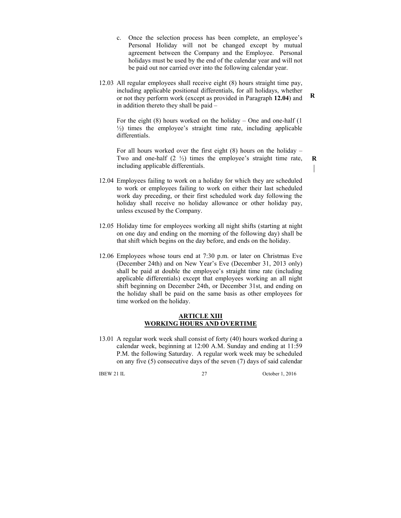c. Once the selection process has been complete, an employee's Personal Holiday will not be changed except by mutual agreement between the Company and the Employee. Personal holidays must be used by the end of the calendar year and will not be paid out nor carried over into the following calendar year.

12.03 All regular employees shall receive eight (8) hours straight time pay, including applicable positional differentials, for all holidays, whether or not they perform work (except as provided in Paragraph **12.04**) and in addition thereto they shall be paid –

For the eight  $(8)$  hours worked on the holiday – One and one-half  $(1)$ ½) times the employee's straight time rate, including applicable differentials.

 For all hours worked over the first eight (8) hours on the holiday – Two and one-half (2 ½) times the employee's straight time rate, including applicable differentials.

- 12.04 Employees failing to work on a holiday for which they are scheduled to work or employees failing to work on either their last scheduled work day preceding, or their first scheduled work day following the holiday shall receive no holiday allowance or other holiday pay, unless excused by the Company.
- 12.05 Holiday time for employees working all night shifts (starting at night on one day and ending on the morning of the following day) shall be that shift which begins on the day before, and ends on the holiday.
- 12.06 Employees whose tours end at 7:30 p.m. or later on Christmas Eve (December 24th) and on New Year's Eve (December 31, 2013 only) shall be paid at double the employee's straight time rate (including applicable differentials) except that employees working an all night shift beginning on December 24th, or December 31st, and ending on the holiday shall be paid on the same basis as other employees for time worked on the holiday.

#### **ARTICLE XIII WORKING HOURS AND OVERTIME**

13.01 A regular work week shall consist of forty (40) hours worked during a calendar week, beginning at 12:00 A.M. Sunday and ending at 11:59 P.M. the following Saturday. A regular work week may be scheduled on any five (5) consecutive days of the seven (7) days of said calendar

IBEW 21 IL 27 October 1, 2016

**R**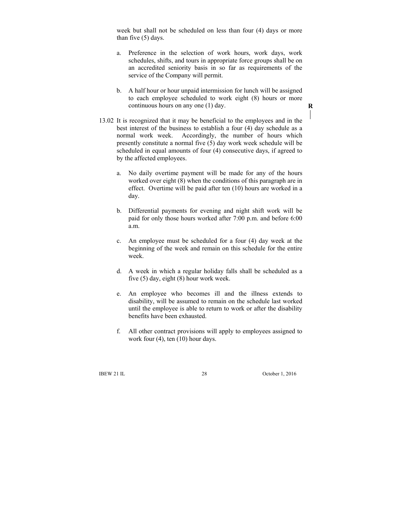week but shall not be scheduled on less than four (4) days or more than five (5) days.

- a. Preference in the selection of work hours, work days, work schedules, shifts, and tours in appropriate force groups shall be on an accredited seniority basis in so far as requirements of the service of the Company will permit.
- b. A half hour or hour unpaid intermission for lunch will be assigned to each employee scheduled to work eight (8) hours or more continuous hours on any one (1) day.
- 13.02 It is recognized that it may be beneficial to the employees and in the best interest of the business to establish a four (4) day schedule as a normal work week. Accordingly, the number of hours which presently constitute a normal five (5) day work week schedule will be scheduled in equal amounts of four (4) consecutive days, if agreed to by the affected employees.
	- a. No daily overtime payment will be made for any of the hours worked over eight (8) when the conditions of this paragraph are in effect. Overtime will be paid after ten (10) hours are worked in a day.
	- b. Differential payments for evening and night shift work will be paid for only those hours worked after 7:00 p.m. and before 6:00 a.m.
	- c. An employee must be scheduled for a four (4) day week at the beginning of the week and remain on this schedule for the entire week.
	- d. A week in which a regular holiday falls shall be scheduled as a five (5) day, eight (8) hour work week.
	- e. An employee who becomes ill and the illness extends to disability, will be assumed to remain on the schedule last worked until the employee is able to return to work or after the disability benefits have been exhausted.
	- f. All other contract provisions will apply to employees assigned to work four (4), ten (10) hour days.

IBEW 21 IL 28 October 1, 2016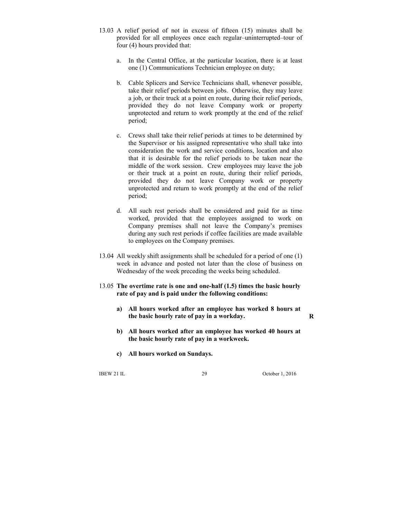- 13.03 A relief period of not in excess of fifteen (15) minutes shall be provided for all employees once each regular–uninterrupted–tour of four (4) hours provided that:
	- a. In the Central Office, at the particular location, there is at least one (1) Communications Technician employee on duty;
	- b. Cable Splicers and Service Technicians shall, whenever possible, take their relief periods between jobs. Otherwise, they may leave a job, or their truck at a point en route, during their relief periods, provided they do not leave Company work or property unprotected and return to work promptly at the end of the relief period;
	- c. Crews shall take their relief periods at times to be determined by the Supervisor or his assigned representative who shall take into consideration the work and service conditions, location and also that it is desirable for the relief periods to be taken near the middle of the work session. Crew employees may leave the job or their truck at a point en route, during their relief periods, provided they do not leave Company work or property unprotected and return to work promptly at the end of the relief period;
	- d. All such rest periods shall be considered and paid for as time worked, provided that the employees assigned to work on Company premises shall not leave the Company's premises during any such rest periods if coffee facilities are made available to employees on the Company premises.
- 13.04 All weekly shift assignments shall be scheduled for a period of one (1) week in advance and posted not later than the close of business on Wednesday of the week preceding the weeks being scheduled.
- 13.05 **The overtime rate is one and one-half (1.5) times the basic hourly rate of pay and is paid under the following conditions:** 
	- **a) All hours worked after an employee has worked 8 hours at the basic hourly rate of pay in a workday.**
	- **b) All hours worked after an employee has worked 40 hours at the basic hourly rate of pay in a workweek.**
	- **c) All hours worked on Sundays.**

IBEW 21 IL 29 October 1, 2016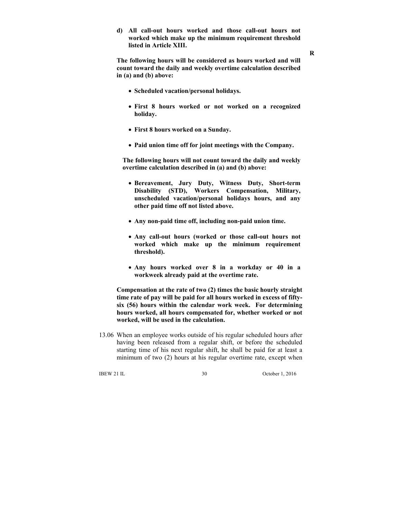**d) All call-out hours worked and those call-out hours not worked which make up the minimum requirement threshold listed in Article XIII.** 

**The following hours will be considered as hours worked and will count toward the daily and weekly overtime calculation described in (a) and (b) above:** 

- **Scheduled vacation/personal holidays.**
- **First 8 hours worked or not worked on a recognized holiday.**
- **First 8 hours worked on a Sunday.**
- **Paid union time off for joint meetings with the Company.**

**The following hours will not count toward the daily and weekly overtime calculation described in (a) and (b) above:** 

- **Bereavement, Jury Duty, Witness Duty, Short-term Disability (STD), Workers Compensation, Military, unscheduled vacation/personal holidays hours, and any other paid time off not listed above.**
- **Any non-paid time off, including non-paid union time.**
- **Any call-out hours (worked or those call-out hours not worked which make up the minimum requirement threshold).**
- **Any hours worked over 8 in a workday or 40 in a workweek already paid at the overtime rate.**

**Compensation at the rate of two (2) times the basic hourly straight time rate of pay will be paid for all hours worked in excess of fiftysix (56) hours within the calendar work week. For determining hours worked, all hours compensated for, whether worked or not worked, will be used in the calculation.**

13.06 When an employee works outside of his regular scheduled hours after having been released from a regular shift, or before the scheduled starting time of his next regular shift, he shall be paid for at least a minimum of two (2) hours at his regular overtime rate, except when

IBEW 21 IL 30 October 1, 2016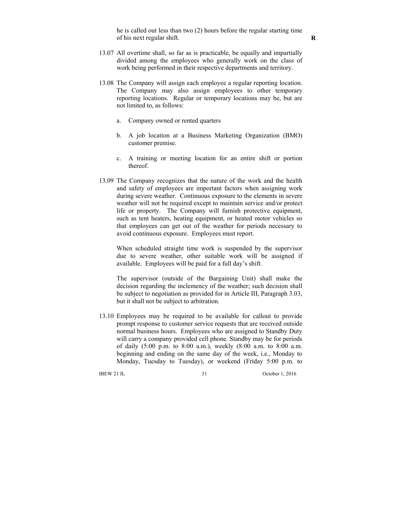he is called out less than two (2) hours before the regular starting time of his next regular shift.

- 13.07 All overtime shall, so far as is practicable, be equally and impartially divided among the employees who generally work on the class of work being performed in their respective departments and territory.
- 13.08 The Company will assign each employee a regular reporting location. The Company may also assign employees to other temporary reporting locations. Regular or temporary locations may be, but are not limited to, as follows:
	- a. Company owned or rented quarters
	- b. A job location at a Business Marketing Organization (BMO) customer premise.
	- c. A training or meeting location for an entire shift or portion thereof.
- 13.09 The Company recognizes that the nature of the work and the health and safety of employees are important factors when assigning work during severe weather. Continuous exposure to the elements in severe weather will not be required except to maintain service and/or protect life or property. The Company will furnish protective equipment, such as tent heaters, heating equipment, or heated motor vehicles so that employees can get out of the weather for periods necessary to avoid continuous exposure. Employees must report.

 When scheduled straight time work is suspended by the supervisor due to severe weather, other suitable work will be assigned if available. Employees will be paid for a full day's shift.

 The supervisor (outside of the Bargaining Unit) shall make the decision regarding the inclemency of the weather; such decision shall be subject to negotiation as provided for in Article III, Paragraph 3.03, but it shall not be subject to arbitration.

13.10 Employees may be required to be available for callout to provide prompt response to customer service requests that are received outside normal business hours. Employees who are assigned to Standby Duty will carry a company provided cell phone. Standby may be for periods of daily (5:00 p.m. to 8:00 a.m.), weekly (8:00 a.m. to 8:00 a.m. beginning and ending on the same day of the week, i.e., Monday to Monday, Tuesday to Tuesday), or weekend (Friday 5:00 p.m. to

IBEW 21 IL 31 October 1, 2016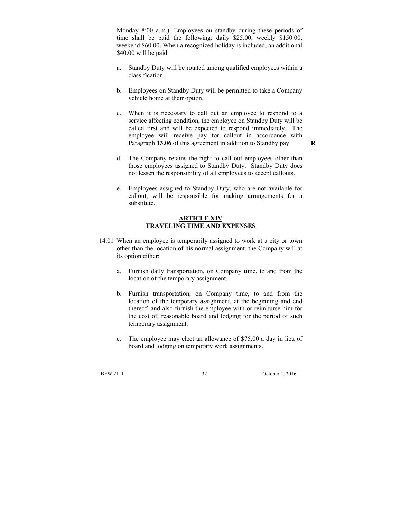Monday 8:00 a.m.). Employees on standby during these periods of time shall be paid the following: daily \$25.00, weekly \$150.00, weekend \$60.00. When a recognized holiday is included, an additional \$40.00 will be paid.

- a. Standby Duty will be rotated among qualified employees within a classification.
- b. Employees on Standby Duty will be permitted to take a Company vehicle home at their option.
- c. When it is necessary to call out an employee to respond to a service affecting condition, the employee on Standby Duty will be called first and will be expected to respond immediately. The employee will receive pay for callout in accordance with Paragraph **13.06** of this agreement in addition to Standby pay.

**R**

- d. The Company retains the right to call out employees other than those employees assigned to Standby Duty. Standby Duty does not lessen the responsibility of all employees to accept callouts.
- e. Employees assigned to Standby Duty, who are not available for callout, will be responsible for making arrangements for a substitute.

#### **ARTICLE XIV TRAVELING TIME AND EXPENSES**

- 14.01 When an employee is temporarily assigned to work at a city or town other than the location of his normal assignment, the Company will at its option either:
	- a. Furnish daily transportation, on Company time, to and from the location of the temporary assignment.
	- b. Furnish transportation, on Company time, to and from the location of the temporary assignment, at the beginning and end thereof, and also furnish the employee with or reimburse him for the cost of, reasonable board and lodging for the period of such temporary assignment.
	- c. The employee may elect an allowance of \$75.00 a day in lieu of board and lodging on temporary work assignments.

IBEW 21 IL 32 October 1, 2016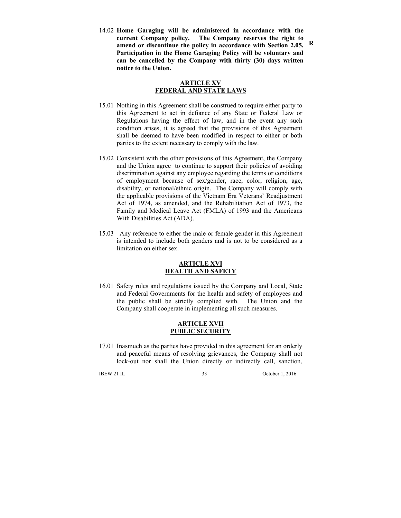14.02 **Home Garaging will be administered in accordance with the current Company policy. The Company reserves the right to amend or discontinue the policy in accordance with Section 2.05. Participation in the Home Garaging Policy will be voluntary and can be cancelled by the Company with thirty (30) days written notice to the Union. R**

### **ARTICLE XV FEDERAL AND STATE LAWS**

- 15.01 Nothing in this Agreement shall be construed to require either party to this Agreement to act in defiance of any State or Federal Law or Regulations having the effect of law, and in the event any such condition arises, it is agreed that the provisions of this Agreement shall be deemed to have been modified in respect to either or both parties to the extent necessary to comply with the law.
- 15.02 Consistent with the other provisions of this Agreement, the Company and the Union agree to continue to support their policies of avoiding discrimination against any employee regarding the terms or conditions of employment because of sex/gender, race, color, religion, age, disability, or national/ethnic origin. The Company will comply with the applicable provisions of the Vietnam Era Veterans' Readjustment Act of 1974, as amended, and the Rehabilitation Act of 1973, the Family and Medical Leave Act (FMLA) of 1993 and the Americans With Disabilities Act (ADA).
- 15.03 Any reference to either the male or female gender in this Agreement is intended to include both genders and is not to be considered as a limitation on either sex.

#### **ARTICLE XVI HEALTH AND SAFETY**

16.01 Safety rules and regulations issued by the Company and Local, State and Federal Governments for the health and safety of employees and the public shall be strictly complied with. The Union and the Company shall cooperate in implementing all such measures.

### **ARTICLE XVII PUBLIC SECURITY**

17.01 Inasmuch as the parties have provided in this agreement for an orderly and peaceful means of resolving grievances, the Company shall not lock-out nor shall the Union directly or indirectly call, sanction,

IBEW 21 IL 33 October 1, 2016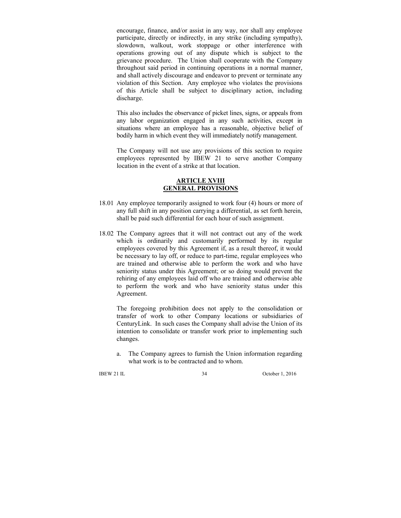encourage, finance, and/or assist in any way, nor shall any employee participate, directly or indirectly, in any strike (including sympathy), slowdown, walkout, work stoppage or other interference with operations growing out of any dispute which is subject to the grievance procedure. The Union shall cooperate with the Company throughout said period in continuing operations in a normal manner, and shall actively discourage and endeavor to prevent or terminate any violation of this Section. Any employee who violates the provisions of this Article shall be subject to disciplinary action, including discharge.

This also includes the observance of picket lines, signs, or appeals from any labor organization engaged in any such activities, except in situations where an employee has a reasonable, objective belief of bodily harm in which event they will immediately notify management.

The Company will not use any provisions of this section to require employees represented by IBEW 21 to serve another Company location in the event of a strike at that location.

#### **ARTICLE XVIII GENERAL PROVISIONS**

- 18.01 Any employee temporarily assigned to work four (4) hours or more of any full shift in any position carrying a differential, as set forth herein, shall be paid such differential for each hour of such assignment.
- 18.02 The Company agrees that it will not contract out any of the work which is ordinarily and customarily performed by its regular employees covered by this Agreement if, as a result thereof, it would be necessary to lay off, or reduce to part-time, regular employees who are trained and otherwise able to perform the work and who have seniority status under this Agreement; or so doing would prevent the rehiring of any employees laid off who are trained and otherwise able to perform the work and who have seniority status under this Agreement.

 The foregoing prohibition does not apply to the consolidation or transfer of work to other Company locations or subsidiaries of CenturyLink. In such cases the Company shall advise the Union of its intention to consolidate or transfer work prior to implementing such changes.

a. The Company agrees to furnish the Union information regarding what work is to be contracted and to whom.

IBEW 21 IL 34 October 1, 2016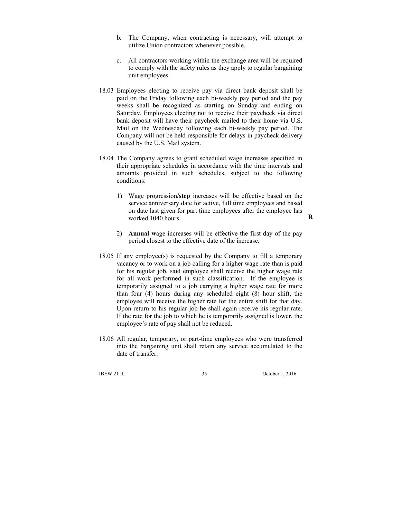- b. The Company, when contracting is necessary, will attempt to utilize Union contractors whenever possible.
- c. All contractors working within the exchange area will be required to comply with the safety rules as they apply to regular bargaining unit employees.
- 18.03 Employees electing to receive pay via direct bank deposit shall be paid on the Friday following each bi-weekly pay period and the pay weeks shall be recognized as starting on Sunday and ending on Saturday. Employees electing not to receive their paycheck via direct bank deposit will have their paycheck mailed to their home via U.S. Mail on the Wednesday following each bi-weekly pay period. The Company will not be held responsible for delays in paycheck delivery caused by the U.S. Mail system.
- 18.04 The Company agrees to grant scheduled wage increases specified in their appropriate schedules in accordance with the time intervals and amounts provided in such schedules, subject to the following conditions:
	- 1) Wage progression**/step** increases will be effective based on the service anniversary date for active, full time employees and based on date last given for part time employees after the employee has worked 1040 hours.
	- 2) **Annual w**age increases will be effective the first day of the pay period closest to the effective date of the increase.
- 18.05 If any employee(s) is requested by the Company to fill a temporary vacancy or to work on a job calling for a higher wage rate than is paid for his regular job, said employee shall receive the higher wage rate for all work performed in such classification. If the employee is temporarily assigned to a job carrying a higher wage rate for more than four (4) hours during any scheduled eight (8) hour shift, the employee will receive the higher rate for the entire shift for that day. Upon return to his regular job he shall again receive his regular rate. If the rate for the job to which he is temporarily assigned is lower, the employee's rate of pay shall not be reduced.
- 18.06 All regular, temporary, or part-time employees who were transferred into the bargaining unit shall retain any service accumulated to the date of transfer.

IBEW 21 IL 35 October 1, 2016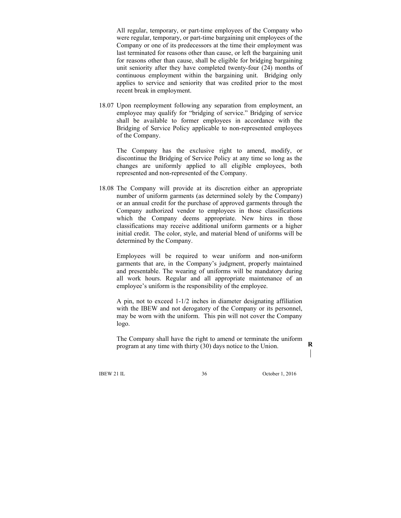All regular, temporary, or part-time employees of the Company who were regular, temporary, or part-time bargaining unit employees of the Company or one of its predecessors at the time their employment was last terminated for reasons other than cause, or left the bargaining unit for reasons other than cause, shall be eligible for bridging bargaining unit seniority after they have completed twenty-four (24) months of continuous employment within the bargaining unit. Bridging only applies to service and seniority that was credited prior to the most recent break in employment.

18.07 Upon reemployment following any separation from employment, an employee may qualify for "bridging of service." Bridging of service shall be available to former employees in accordance with the Bridging of Service Policy applicable to non-represented employees of the Company.

 The Company has the exclusive right to amend, modify, or discontinue the Bridging of Service Policy at any time so long as the changes are uniformly applied to all eligible employees, both represented and non-represented of the Company.

18.08 The Company will provide at its discretion either an appropriate number of uniform garments (as determined solely by the Company) or an annual credit for the purchase of approved garments through the Company authorized vendor to employees in those classifications which the Company deems appropriate. New hires in those classifications may receive additional uniform garments or a higher initial credit. The color, style, and material blend of uniforms will be determined by the Company.

 Employees will be required to wear uniform and non-uniform garments that are, in the Company's judgment, properly maintained and presentable. The wearing of uniforms will be mandatory during all work hours. Regular and all appropriate maintenance of an employee's uniform is the responsibility of the employee.

 A pin, not to exceed 1-1/2 inches in diameter designating affiliation with the IBEW and not derogatory of the Company or its personnel, may be worn with the uniform. This pin will not cover the Company logo.

 The Company shall have the right to amend or terminate the uniform program at any time with thirty (30) days notice to the Union. **R** 

IBEW 21 IL 36 October 1, 2016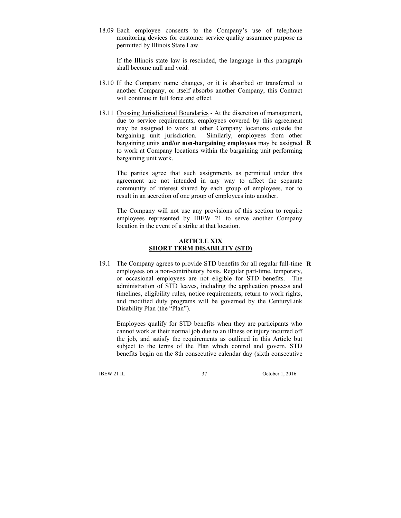18.09 Each employee consents to the Company's use of telephone monitoring devices for customer service quality assurance purpose as permitted by Illinois State Law.

 If the Illinois state law is rescinded, the language in this paragraph shall become null and void.

- 18.10 If the Company name changes, or it is absorbed or transferred to another Company, or itself absorbs another Company, this Contract will continue in full force and effect.
- 18.11 Crossing Jurisdictional Boundaries At the discretion of management, due to service requirements, employees covered by this agreement may be assigned to work at other Company locations outside the bargaining unit jurisdiction. Similarly, employees from other bargaining units **and/or non-bargaining employees** may be assigned **R** to work at Company locations within the bargaining unit performing bargaining unit work.

 The parties agree that such assignments as permitted under this agreement are not intended in any way to affect the separate community of interest shared by each group of employees, nor to result in an accretion of one group of employees into another.

 The Company will not use any provisions of this section to require employees represented by IBEW 21 to serve another Company location in the event of a strike at that location.

### **ARTICLE XIX SHORT TERM DISABILITY (STD)**

19.1 The Company agrees to provide STD benefits for all regular full-time **R**employees on a non-contributory basis. Regular part-time, temporary, or occasional employees are not eligible for STD benefits. The administration of STD leaves, including the application process and timelines, eligibility rules, notice requirements, return to work rights, and modified duty programs will be governed by the CenturyLink Disability Plan (the "Plan").

 Employees qualify for STD benefits when they are participants who cannot work at their normal job due to an illness or injury incurred off the job, and satisfy the requirements as outlined in this Article but subject to the terms of the Plan which control and govern. STD benefits begin on the 8th consecutive calendar day (sixth consecutive

IBEW 21 IL 37 October 1, 2016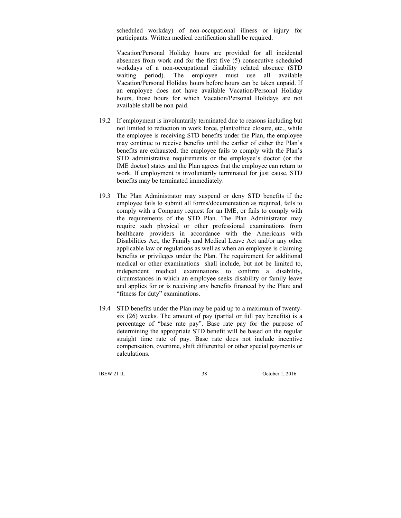scheduled workday) of non-occupational illness or injury for participants. Written medical certification shall be required.

 Vacation/Personal Holiday hours are provided for all incidental absences from work and for the first five (5) consecutive scheduled workdays of a non-occupational disability related absence (STD waiting period). The employee must use all available Vacation/Personal Holiday hours before hours can be taken unpaid. If an employee does not have available Vacation/Personal Holiday hours, those hours for which Vacation/Personal Holidays are not available shall be non-paid.

- 19.2 If employment is involuntarily terminated due to reasons including but not limited to reduction in work force, plant/office closure, etc., while the employee is receiving STD benefits under the Plan, the employee may continue to receive benefits until the earlier of either the Plan's benefits are exhausted, the employee fails to comply with the Plan's STD administrative requirements or the employee's doctor (or the IME doctor) states and the Plan agrees that the employee can return to work. If employment is involuntarily terminated for just cause, STD benefits may be terminated immediately.
- 19.3 The Plan Administrator may suspend or deny STD benefits if the employee fails to submit all forms/documentation as required, fails to comply with a Company request for an IME, or fails to comply with the requirements of the STD Plan. The Plan Administrator may require such physical or other professional examinations from healthcare providers in accordance with the Americans with Disabilities Act, the Family and Medical Leave Act and/or any other applicable law or regulations as well as when an employee is claiming benefits or privileges under the Plan. The requirement for additional medical or other examinations shall include, but not be limited to, independent medical examinations to confirm a disability, circumstances in which an employee seeks disability or family leave and applies for or is receiving any benefits financed by the Plan; and "fitness for duty" examinations.
- 19.4 STD benefits under the Plan may be paid up to a maximum of twentysix (26) weeks. The amount of pay (partial or full pay benefits) is a percentage of "base rate pay". Base rate pay for the purpose of determining the appropriate STD benefit will be based on the regular straight time rate of pay. Base rate does not include incentive compensation, overtime, shift differential or other special payments or calculations.

IBEW 21 IL 38 October 1, 2016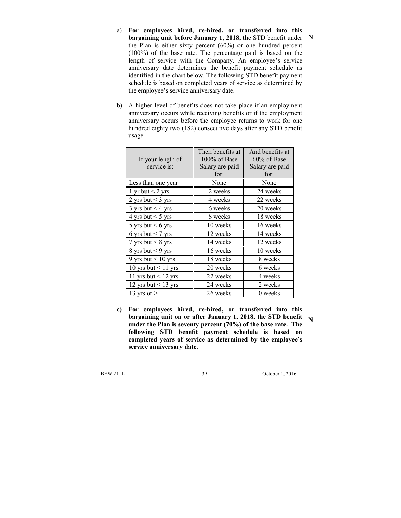- a) **For employees hired, re-hired, or transferred into this bargaining unit before January 1, 2018, t**he STD benefit under **N**  the Plan is either sixty percent (60%) or one hundred percent (100%) of the base rate. The percentage paid is based on the length of service with the Company. An employee's service anniversary date determines the benefit payment schedule as identified in the chart below. The following STD benefit payment schedule is based on completed years of service as determined by the employee's service anniversary date.
- b) A higher level of benefits does not take place if an employment anniversary occurs while receiving benefits or if the employment anniversary occurs before the employee returns to work for one hundred eighty two (182) consecutive days after any STD benefit usage.

| If your length of<br>service is: | Then benefits at<br>100% of Base<br>Salary are paid<br>for: | And benefits at<br>$60\%$ of Base<br>Salary are paid<br>for: |
|----------------------------------|-------------------------------------------------------------|--------------------------------------------------------------|
| Less than one year               | None                                                        | None                                                         |
| 1 yr but $<$ 2 yrs               | 2 weeks                                                     | 24 weeks                                                     |
| 2 yrs but $<$ 3 yrs              | 4 weeks                                                     | 22 weeks                                                     |
| 3 yrs but $<$ 4 yrs              | 6 weeks                                                     | 20 weeks                                                     |
| 4 yrs but $<$ 5 yrs              | 8 weeks                                                     | 18 weeks                                                     |
| 5 yrs but $< 6$ yrs              | 10 weeks                                                    | 16 weeks                                                     |
| 6 yrs but $<$ 7 yrs              | 12 weeks                                                    | 14 weeks                                                     |
| 7 yrs but $< 8$ yrs              | 14 weeks                                                    | 12 weeks                                                     |
| 8 yrs but $<$ 9 yrs              | 16 weeks                                                    | 10 weeks                                                     |
| 9 yrs but $< 10$ yrs             | 18 weeks                                                    | 8 weeks                                                      |
| 10 yrs but $< 11$ yrs            | 20 weeks                                                    | 6 weeks                                                      |
| 11 yrs but $<$ 12 yrs            | 22 weeks                                                    | 4 weeks                                                      |
| 12 yrs but $<$ 13 yrs            | 24 weeks                                                    | 2 weeks                                                      |
| 13 yrs or $>$                    | 26 weeks                                                    | 0 weeks                                                      |

**c) For employees hired, re-hired, or transferred into this bargaining unit on or after January 1, 2018, the STD benefit under the Plan is seventy percent (70%) of the base rate. The following STD benefit payment schedule is based on completed years of service as determined by the employee's service anniversary date.** 

IBEW 21 IL 39 October 1, 2016

**N**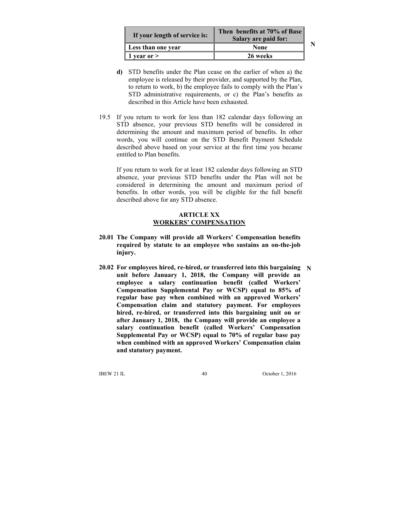| If your length of service is: | Then benefits at 70% of Base<br>Salary are paid for: |  |
|-------------------------------|------------------------------------------------------|--|
| Less than one year            | None                                                 |  |
| 1 year or $>$                 | 26 weeks                                             |  |

**N** 

- **d)** STD benefits under the Plan cease on the earlier of when a) the employee is released by their provider, and supported by the Plan, to return to work, b) the employee fails to comply with the Plan's STD administrative requirements, or c) the Plan's benefits as described in this Article have been exhausted.
- 19.5 If you return to work for less than 182 calendar days following an STD absence, your previous STD benefits will be considered in determining the amount and maximum period of benefits. In other words, you will continue on the STD Benefit Payment Schedule described above based on your service at the first time you became entitled to Plan benefits.

If you return to work for at least 182 calendar days following an STD absence, your previous STD benefits under the Plan will not be considered in determining the amount and maximum period of benefits. In other words, you will be eligible for the full benefit described above for any STD absence.

### **ARTICLE XX WORKERS' COMPENSATION**

- **20.01 The Company will provide all Workers' Compensation benefits required by statute to an employee who sustains an on-the-job injury.**
- **20.02 For employees hired, re-hired, or transferred into this bargaining Nunit before January 1, 2018, the Company will provide an employee a salary continuation benefit (called Workers' Compensation Supplemental Pay or WCSP) equal to 85% of regular base pay when combined with an approved Workers' Compensation claim and statutory payment. For employees hired, re-hired, or transferred into this bargaining unit on or after January 1, 2018, the Company will provide an employee a salary continuation benefit (called Workers' Compensation Supplemental Pay or WCSP) equal to 70% of regular base pay when combined with an approved Workers' Compensation claim and statutory payment.**

IBEW 21 IL 40 October 1, 2016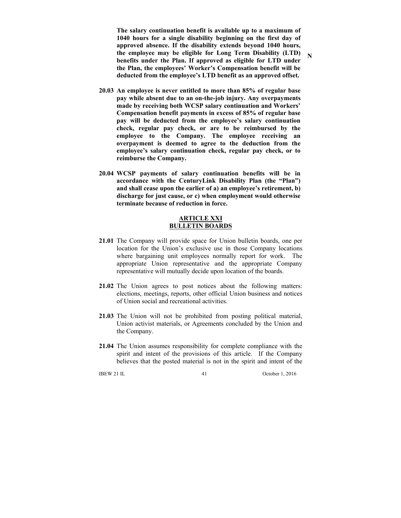**The salary continuation benefit is available up to a maximum of 1040 hours for a single disability beginning on the first day of approved absence. If the disability extends beyond 1040 hours, the employee may be eligible for Long Term Disability (LTD) benefits under the Plan. If approved as eligible for LTD under the Plan, the employees' Worker's Compensation benefit will be deducted from the employee's LTD benefit as an approved offset.** 

- **20.03 An employee is never entitled to more than 85% of regular base pay while absent due to an on-the-job injury. Any overpayments made by receiving both WCSP salary continuation and Workers' Compensation benefit payments in excess of 85% of regular base pay will be deducted from the employee's salary continuation check, regular pay check, or are to be reimbursed by the employee to the Company. The employee receiving an overpayment is deemed to agree to the deduction from the employee's salary continuation check, regular pay check, or to reimburse the Company.**
- **20.04 WCSP payments of salary continuation benefits will be in accordance with the CenturyLink Disability Plan (the "Plan") and shall cease upon the earlier of a) an employee's retirement, b) discharge for just cause, or c) when employment would otherwise terminate because of reduction in force.**

#### **ARTICLE XXI BULLETIN BOARDS**

- **21.01** The Company will provide space for Union bulletin boards, one per location for the Union's exclusive use in those Company locations where bargaining unit employees normally report for work. The appropriate Union representative and the appropriate Company representative will mutually decide upon location of the boards.
- **21.02** The Union agrees to post notices about the following matters: elections, meetings, reports, other official Union business and notices of Union social and recreational activities.
- **21.03** The Union will not be prohibited from posting political material, Union activist materials, or Agreements concluded by the Union and the Company.
- **21.04** The Union assumes responsibility for complete compliance with the spirit and intent of the provisions of this article. If the Company believes that the posted material is not in the spirit and intent of the

IBEW 21 IL 41 October 1, 2016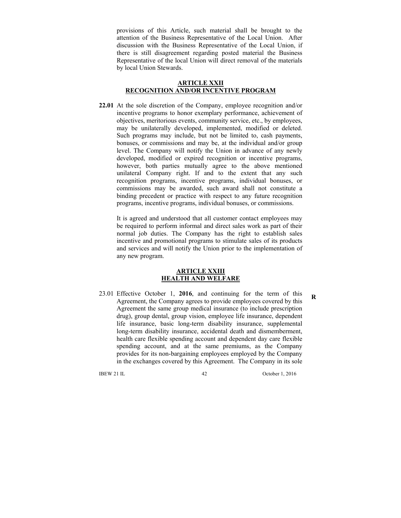provisions of this Article, such material shall be brought to the attention of the Business Representative of the Local Union. After discussion with the Business Representative of the Local Union, if there is still disagreement regarding posted material the Business Representative of the local Union will direct removal of the materials by local Union Stewards.

### **ARTICLE XXII RECOGNITION AND/OR INCENTIVE PROGRAM**

**22.01** At the sole discretion of the Company, employee recognition and/or incentive programs to honor exemplary performance, achievement of objectives, meritorious events, community service, etc., by employees, may be unilaterally developed, implemented, modified or deleted. Such programs may include, but not be limited to, cash payments, bonuses, or commissions and may be, at the individual and/or group level. The Company will notify the Union in advance of any newly developed, modified or expired recognition or incentive programs, however, both parties mutually agree to the above mentioned unilateral Company right. If and to the extent that any such recognition programs, incentive programs, individual bonuses, or commissions may be awarded, such award shall not constitute a binding precedent or practice with respect to any future recognition programs, incentive programs, individual bonuses, or commissions.

 It is agreed and understood that all customer contact employees may be required to perform informal and direct sales work as part of their normal job duties. The Company has the right to establish sales incentive and promotional programs to stimulate sales of its products and services and will notify the Union prior to the implementation of any new program.

#### **ARTICLE XXIII HEALTH AND WELFARE**

23.01 Effective October 1, **2016**, and continuing for the term of this Agreement, the Company agrees to provide employees covered by this Agreement the same group medical insurance (to include prescription drug), group dental, group vision, employee life insurance, dependent life insurance, basic long-term disability insurance, supplemental long-term disability insurance, accidental death and dismemberment, health care flexible spending account and dependent day care flexible spending account, and at the same premiums, as the Company provides for its non-bargaining employees employed by the Company in the exchanges covered by this Agreement. The Company in its sole

IBEW 21 IL 42 October 1, 2016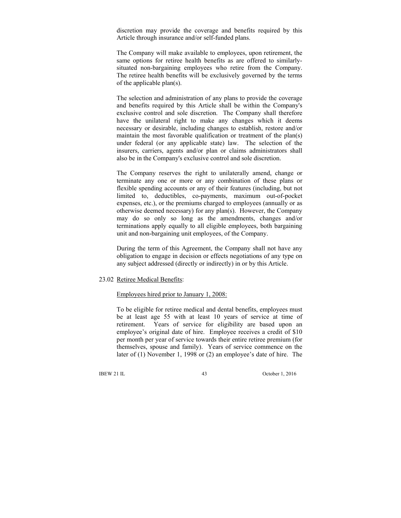discretion may provide the coverage and benefits required by this Article through insurance and/or self-funded plans.

 The Company will make available to employees, upon retirement, the same options for retiree health benefits as are offered to similarlysituated non-bargaining employees who retire from the Company. The retiree health benefits will be exclusively governed by the terms of the applicable plan(s).

 The selection and administration of any plans to provide the coverage and benefits required by this Article shall be within the Company's exclusive control and sole discretion. The Company shall therefore have the unilateral right to make any changes which it deems necessary or desirable, including changes to establish, restore and/or maintain the most favorable qualification or treatment of the plan(s) under federal (or any applicable state) law. The selection of the insurers, carriers, agents and/or plan or claims administrators shall also be in the Company's exclusive control and sole discretion.

 The Company reserves the right to unilaterally amend, change or terminate any one or more or any combination of these plans or flexible spending accounts or any of their features (including, but not limited to, deductibles, co-payments, maximum out-of-pocket expenses, etc.), or the premiums charged to employees (annually or as otherwise deemed necessary) for any plan(s). However, the Company may do so only so long as the amendments, changes and/or terminations apply equally to all eligible employees, both bargaining unit and non-bargaining unit employees, of the Company.

 During the term of this Agreement, the Company shall not have any obligation to engage in decision or effects negotiations of any type on any subject addressed (directly or indirectly) in or by this Article.

#### 23.02 Retiree Medical Benefits:

### Employees hired prior to January 1, 2008:

 To be eligible for retiree medical and dental benefits, employees must be at least age 55 with at least 10 years of service at time of retirement. Years of service for eligibility are based upon an employee's original date of hire. Employee receives a credit of \$10 per month per year of service towards their entire retiree premium (for themselves, spouse and family). Years of service commence on the later of (1) November 1, 1998 or (2) an employee's date of hire. The

IBEW 21 IL 43 October 1, 2016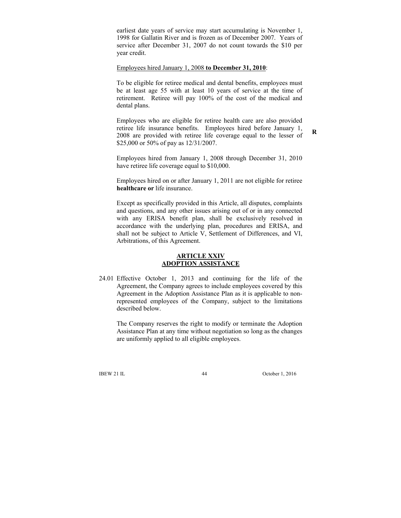earliest date years of service may start accumulating is November 1, 1998 for Gallatin River and is frozen as of December 2007. Years of service after December 31, 2007 do not count towards the \$10 per year credit.

#### Employees hired January 1, 2008 **to December 31, 2010**:

 To be eligible for retiree medical and dental benefits, employees must be at least age 55 with at least 10 years of service at the time of retirement. Retiree will pay 100% of the cost of the medical and dental plans.

 Employees who are eligible for retiree health care are also provided retiree life insurance benefits. Employees hired before January 1, 2008 are provided with retiree life coverage equal to the lesser of \$25,000 or 50% of pay as 12/31/2007.

**R**

 Employees hired from January 1, 2008 through December 31, 2010 have retiree life coverage equal to \$10,000.

 Employees hired on or after January 1, 2011 are not eligible for retiree **healthcare or** life insurance.

 Except as specifically provided in this Article, all disputes, complaints and questions, and any other issues arising out of or in any connected with any ERISA benefit plan, shall be exclusively resolved in accordance with the underlying plan, procedures and ERISA, and shall not be subject to Article V, Settlement of Differences, and VI, Arbitrations, of this Agreement.

### **ARTICLE XXIV ADOPTION ASSISTANCE**

24.01 Effective October 1, 2013 and continuing for the life of the Agreement, the Company agrees to include employees covered by this Agreement in the Adoption Assistance Plan as it is applicable to nonrepresented employees of the Company, subject to the limitations described below.

 The Company reserves the right to modify or terminate the Adoption Assistance Plan at any time without negotiation so long as the changes are uniformly applied to all eligible employees.

IBEW 21 IL 44 October 1, 2016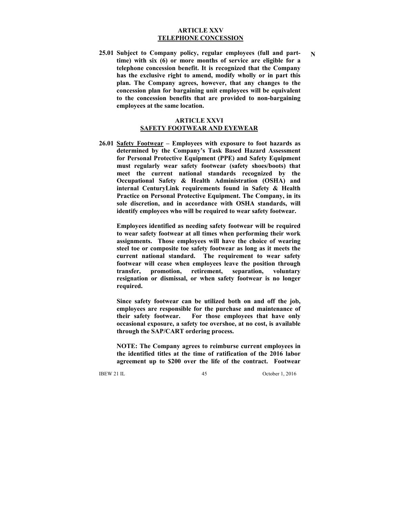#### **ARTICLE XXV TELEPHONE CONCESSION**

**25.01 Subject to Company policy, regular employees (full and parttime) with six (6) or more months of service are eligible for a telephone concession benefit. It is recognized that the Company has the exclusive right to amend, modify wholly or in part this plan. The Company agrees, however, that any changes to the concession plan for bargaining unit employees will be equivalent to the concession benefits that are provided to non-bargaining employees at the same location.** 

#### **ARTICLE XXVI SAFETY FOOTWEAR AND EYEWEAR**

**26.01 Safety Footwear – Employees with exposure to foot hazards as determined by the Company's Task Based Hazard Assessment for Personal Protective Equipment (PPE) and Safety Equipment must regularly wear safety footwear (safety shoes/boots) that meet the current national standards recognized by the Occupational Safety & Health Administration (OSHA) and internal CenturyLink requirements found in Safety & Health Practice on Personal Protective Equipment. The Company, in its sole discretion, and in accordance with OSHA standards, will identify employees who will be required to wear safety footwear.** 

 **Employees identified as needing safety footwear will be required to wear safety footwear at all times when performing their work assignments. Those employees will have the choice of wearing steel toe or composite toe safety footwear as long as it meets the current national standard. The requirement to wear safety footwear will cease when employees leave the position through transfer, promotion, retirement, separation, voluntary resignation or dismissal, or when safety footwear is no longer required.** 

 **Since safety footwear can be utilized both on and off the job, employees are responsible for the purchase and maintenance of their safety footwear. For those employees that have only occasional exposure, a safety toe overshoe, at no cost, is available through the SAP/CART ordering process.** 

 **NOTE: The Company agrees to reimburse current employees in the identified titles at the time of ratification of the 2016 labor agreement up to \$200 over the life of the contract. Footwear** 

IBEW 21 IL 45 October 1, 2016

**N**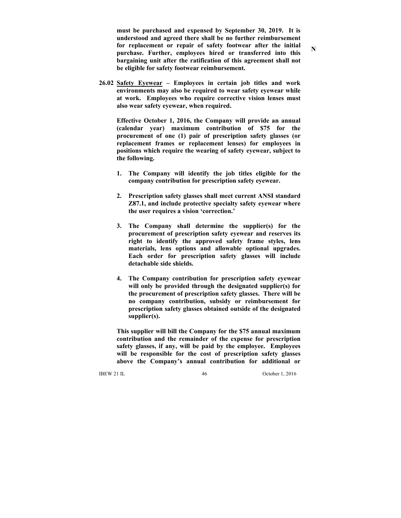**must be purchased and expensed by September 30, 2019. It is understood and agreed there shall be no further reimbursement for replacement or repair of safety footwear after the initial purchase. Further, employees hired or transferred into this bargaining unit after the ratification of this agreement shall not be eligible for safety footwear reimbursement.** 

**26.02 Safety Eyewear – Employees in certain job titles and work environments may also be required to wear safety eyewear while at work. Employees who require corrective vision lenses must also wear safety eyewear, when required.** 

 **Effective October 1, 2016, the Company will provide an annual (calendar year) maximum contribution of \$75 for the procurement of one (1) pair of prescription safety glasses (or replacement frames or replacement lenses) for employees in positions which require the wearing of safety eyewear, subject to the following.** 

- **1. The Company will identify the job titles eligible for the company contribution for prescription safety eyewear.**
- **2. Prescription safety glasses shall meet current ANSI standard Z87.1, and include protective specialty safety eyewear where the user requires a vision 'correction.'**
- **3. The Company shall determine the supplier(s) for the procurement of prescription safety eyewear and reserves its right to identify the approved safety frame styles, lens materials, lens options and allowable optional upgrades. Each order for prescription safety glasses will include detachable side shields.**
- **4. The Company contribution for prescription safety eyewear will only be provided through the designated supplier(s) for the procurement of prescription safety glasses. There will be no company contribution, subsidy or reimbursement for prescription safety glasses obtained outside of the designated supplier(s).**

 **This supplier will bill the Company for the \$75 annual maximum contribution and the remainder of the expense for prescription safety glasses, if any, will be paid by the employee. Employees will be responsible for the cost of prescription safety glasses above the Company's annual contribution for additional or** 

IBEW 21 IL 46 October 1, 2016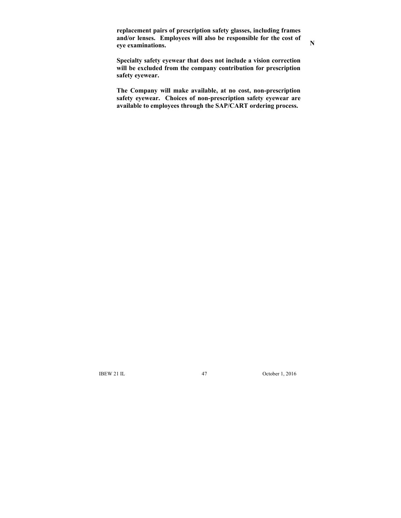**replacement pairs of prescription safety glasses, including frames and/or lenses. Employees will also be responsible for the cost of eye examinations.** 

 **Specialty safety eyewear that does not include a vision correction will be excluded from the company contribution for prescription safety eyewear.** 

 **The Company will make available, at no cost, non-prescription safety eyewear. Choices of non-prescription safety eyewear are available to employees through the SAP/CART ordering process.** 

IBEW 21 IL 47 October 1, 2016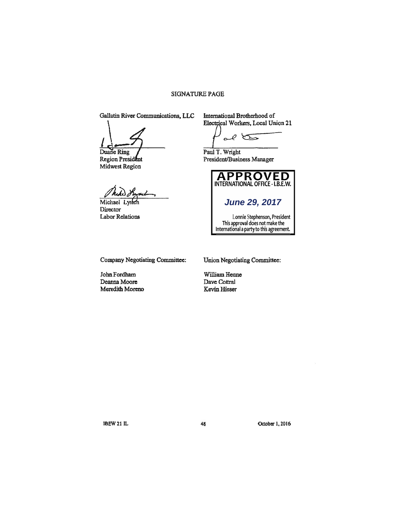## SIGNATURE PAGE

Gallatin River Communications, LLC International Brotherhood of

Duane Ring<br>
Region President<br>
Region President<br>
President/Busin Midwest Region

Michael Director Labor Relations

Electrical Workers, Local Union 21

 $\overline{\mathcal{O}}$  $\sqrt{2}$ 

President/Business Manager



Company Negotiating Committee: Union Negotiating Committee:

John Fordham William Henne Deanna Moore Dave Cottral Meredith Moreno Kevin Hieser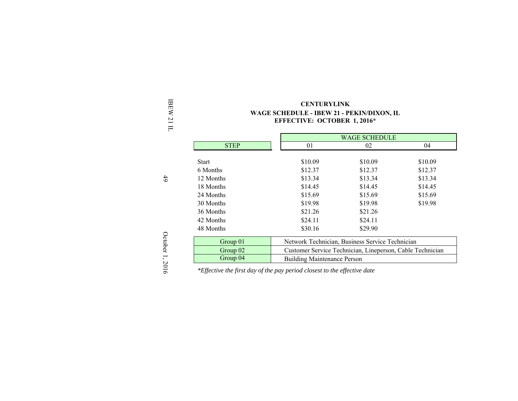| Ħ            | EFFECTIVE: OCTOBER 1, 2010"<br><b>WAGE SCHEDULE</b> |                                                           |         |         |  |
|--------------|-----------------------------------------------------|-----------------------------------------------------------|---------|---------|--|
|              |                                                     |                                                           |         |         |  |
|              | <b>STEP</b>                                         | 01                                                        | 02      | 04      |  |
|              | <b>Start</b>                                        | \$10.09                                                   | \$10.09 | \$10.09 |  |
|              | 6 Months                                            | \$12.37                                                   | \$12.37 | \$12.37 |  |
| 49           | 12 Months                                           | \$13.34                                                   | \$13.34 | \$13.34 |  |
|              | 18 Months                                           | \$14.45                                                   | \$14.45 | \$14.45 |  |
|              | 24 Months                                           | \$15.69                                                   | \$15.69 | \$15.69 |  |
|              | 30 Months                                           | \$19.98                                                   | \$19.98 | \$19.98 |  |
|              | 36 Months                                           | \$21.26                                                   | \$21.26 |         |  |
|              | 42 Months                                           | \$24.11                                                   | \$24.11 |         |  |
|              | 48 Months                                           | \$30.16                                                   | \$29.90 |         |  |
| October      | Group 01                                            | Network Technician, Business Service Technician           |         |         |  |
|              | Group 02                                            | Customer Service Technician, Lineperson, Cable Technician |         |         |  |
| J,<br>$\sim$ | Group 04                                            | <b>Building Maintenance Person</b>                        |         |         |  |

IBEW 21 IL **CENTURYLINK WAGE SCHEDULE - IBEW 21 - PEKIN/DIXON, IL EFFECTIVE: OCTOBER 1, 2016\*** 

October 1, 2016 October 1, 2016

*\*Effective the first day of the pay period closest to the effective date*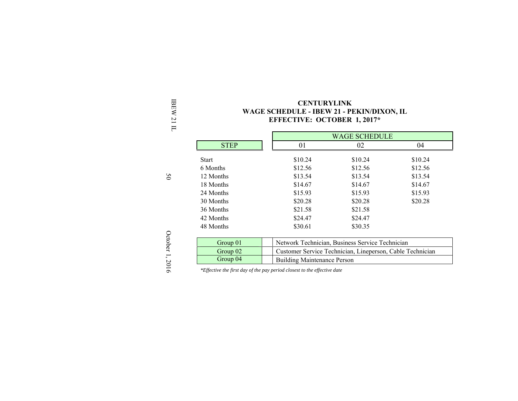| 豆                             | <b>CENTURYLINK</b>                        |
|-------------------------------|-------------------------------------------|
| EW                            | WAGE SCHEDULE - IBEW 21 - PEKIN/DIXON, IL |
| N<br>$\overline{\phantom{0}}$ | <b>EFFECTIVE: OCTOBER 1, 2017*</b>        |
| $\Box$                        |                                           |

|             |         | <b>WAGE SCHEDULE</b>                                                                                         |         |  |
|-------------|---------|--------------------------------------------------------------------------------------------------------------|---------|--|
| <b>STEP</b> | 01      | 02                                                                                                           | 04      |  |
| Start       | \$10.24 | \$10.24                                                                                                      | \$10.24 |  |
| 6 Months    | \$12.56 | \$12.56                                                                                                      | \$12.56 |  |
| 12 Months   | \$13.54 | \$13.54                                                                                                      | \$13.54 |  |
| 18 Months   | \$14.67 | \$14.67                                                                                                      | \$14.67 |  |
| 24 Months   | \$15.93 | \$15.93                                                                                                      | \$15.93 |  |
| 30 Months   | \$20.28 | \$20.28                                                                                                      | \$20.28 |  |
| 36 Months   | \$21.58 | \$21.58                                                                                                      |         |  |
| 42 Months   | \$24.47 | \$24.47                                                                                                      |         |  |
| 48 Months   | \$30.61 | \$30.35                                                                                                      |         |  |
| Group 01    |         |                                                                                                              |         |  |
| Group 02    |         | Network Technician, Business Service Technician<br>Customer Service Technician, Lineperson, Cable Technician |         |  |
| Group 04    |         | <b>Building Maintenance Person</b>                                                                           |         |  |

*\*Effective the first day of the pay period closest to the effective date* 

50

October 1, 2016 October 1, 2016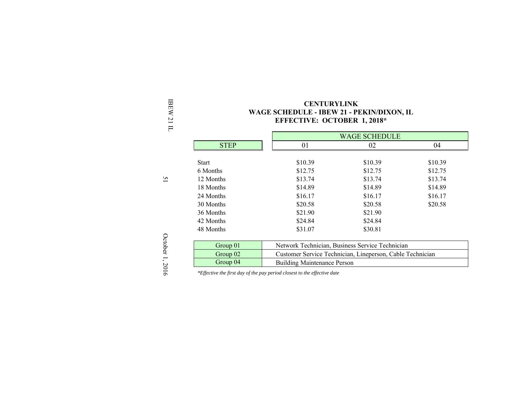| ╒                                                               | ETTECHTE. OCTOBER 1, 2010 |         |                                                           |         |  |
|-----------------------------------------------------------------|---------------------------|---------|-----------------------------------------------------------|---------|--|
|                                                                 |                           |         |                                                           |         |  |
|                                                                 | <b>STEP</b>               | 01      | 02                                                        | 04      |  |
|                                                                 |                           |         |                                                           |         |  |
|                                                                 | <b>Start</b>              | \$10.39 | \$10.39                                                   | \$10.39 |  |
|                                                                 | 6 Months                  | \$12.75 | \$12.75                                                   | \$12.75 |  |
| $\overline{51}$                                                 | 12 Months                 | \$13.74 | \$13.74                                                   | \$13.74 |  |
|                                                                 | 18 Months                 | \$14.89 | \$14.89                                                   | \$14.89 |  |
|                                                                 | 24 Months                 | \$16.17 | \$16.17                                                   | \$16.17 |  |
|                                                                 | 30 Months                 | \$20.58 | \$20.58                                                   | \$20.58 |  |
|                                                                 | 36 Months                 | \$21.90 | \$21.90                                                   |         |  |
|                                                                 | 42 Months                 | \$24.84 | \$24.84                                                   |         |  |
|                                                                 | 48 Months                 | \$31.07 | \$30.81                                                   |         |  |
|                                                                 |                           |         |                                                           |         |  |
|                                                                 | Group 01                  |         | Network Technician, Business Service Technician           |         |  |
| October 1,                                                      | Group 02                  |         | Customer Service Technician, Lineperson, Cable Technician |         |  |
| Group 04<br><b>Building Maintenance Person</b><br>$\mathcal{L}$ |                           |         |                                                           |         |  |

IBEW 21 IL **CENTURYLINK WAGE SCHEDULE - IBEW 21 - PEKIN/DIXON, IL EFFECTIVE: OCTOBER 1, 2018\*** 

October 1, 2016 October 1, 2016

*\*Effective the first day of the pay period closest to the effective date*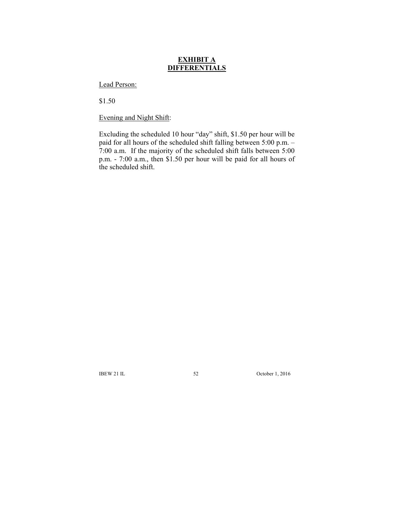# **EXHIBIT A DIFFERENTIALS**

Lead Person:

\$1.50

Evening and Night Shift:

Excluding the scheduled 10 hour "day" shift, \$1.50 per hour will be paid for all hours of the scheduled shift falling between 5:00 p.m. – 7:00 a.m. If the majority of the scheduled shift falls between 5:00 p.m. - 7:00 a.m., then \$1.50 per hour will be paid for all hours of the scheduled shift.

IBEW 21 IL 52 October 1, 2016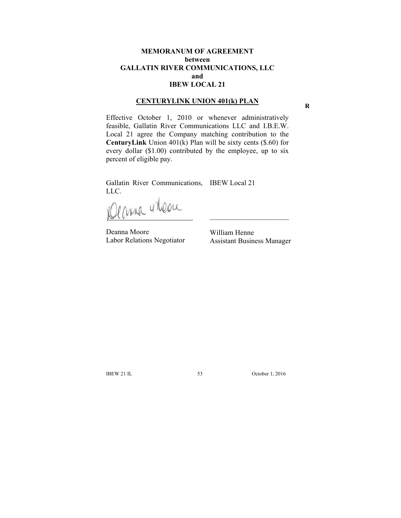## **MEMORANUM OF AGREEMENT between GALLATIN RIVER COMMUNICATIONS, LLC and IBEW LOCAL 21**

## **CENTURYLINK UNION 401(k) PLAN**

Effective October 1, 2010 or whenever administratively feasible, Gallatin River Communications LLC and I.B.E.W. Local 21 agree the Company matching contribution to the **CenturyLink** Union 401(k) Plan will be sixty cents (\$.60) for every dollar (\$1.00) contributed by the employee, up to six percent of eligible pay.

Gallatin River Communications, IBEW Local 21

LLC.<br>IClama vilone

Deanna Moore Labor Relations Negotiator

William Henne Assistant Business Manager

 $\mathcal{L}_\text{max}$ 

IBEW 21 IL 53 October 1, 2016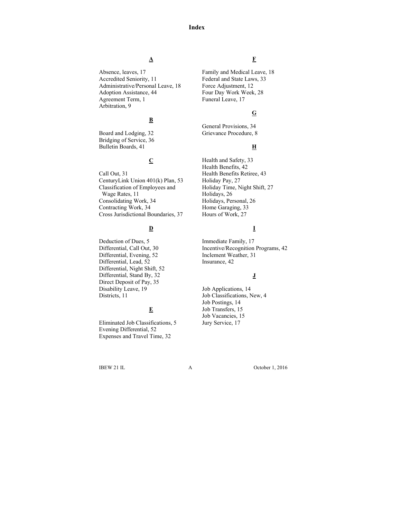#### **Index**

# **A**

Absence, leaves, 17 Accredited Seniority, 11 Administrative/Personal Leave, 18 Adoption Assistance, 44 Agreement Term, 1 Arbitration, 9

# **B**

Board and Lodging, 32 Bridging of Service, 36 Bulletin Boards, 41

# **C**

Call Out, 31 CenturyLink Union 401(k) Plan, 53 Classification of Employees and Wage Rates, 11 Consolidating Work, 34 Contracting Work, 34 Cross Jurisdictional Boundaries, 37

# **D**

Deduction of Dues, 5 Differential, Call Out, 30 Differential, Evening, 52 Differential, Lead, 52 Differential, Night Shift, 52 Differential, Stand By, 32 Direct Deposit of Pay, 35 Disability Leave, 19 Districts, 11

# **E**

Eliminated Job Classifications, 5 Evening Differential, 52 Expenses and Travel Time, 32

## **F**

Family and Medical Leave, 18 Federal and State Laws, 33 Force Adjustment, 12 Four Day Work Week, 28 Funeral Leave, 17

### **G**

General Provisions, 34 Grievance Procedure, 8

### **H**

Health and Safety, 33 Health Benefits, 42 Health Benefits Retiree, 43 Holiday Pay, 27 Holiday Time, Night Shift, 27 Holidays, 26 Holidays, Personal, 26 Home Garaging, 33 Hours of Work, 27

### **I**

Immediate Family, 17 Incentive/Recognition Programs, 42 Inclement Weather, 31 Insurance, 42

#### **J**

Job Applications, 14 Job Classifications, New, 4 Job Postings, 14 Job Transfers, 15 Job Vacancies, 15 Jury Service, 17

IBEW 21 IL A October 1, 2016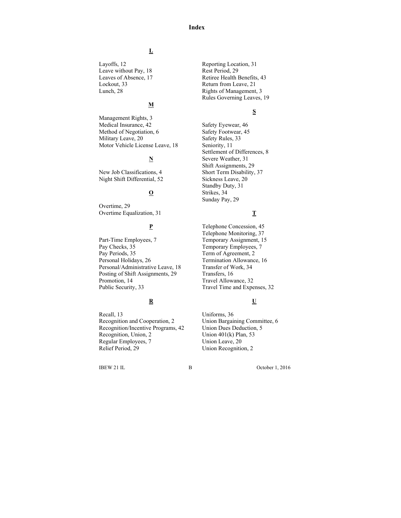#### **Index**

# **L**

Layoffs, 12 Leave without Pay, 18 Leaves of Absence, 17 Lockout, 33 Lunch, 28

# **M**

Management Rights, 3 Medical Insurance, 42 Method of Negotiation, 6 Military Leave, 20 Motor Vehicle License Leave, 18

# **N**

New Job Classifications, 4 Night Shift Differential, 52

# **O**

Overtime, 29 Overtime Equalization, 31

# **P**

Part-Time Employees, 7 Pay Checks, 35 Pay Periods, 35 Personal Holidays, 26 Personal/Administrative Leave, 18 Posting of Shift Assignments, 29 Promotion, 14 Public Security, 33

# **R**

Recall, 13 Recognition and Cooperation, 2 Recognition/Incentive Programs, 42 Recognition, Union, 2 Regular Employees, 7 Relief Period, 29

Reporting Location, 31 Rest Period, 29 Retiree Health Benefits, 43 Return from Leave, 21 Rights of Management, 3 Rules Governing Leaves, 19

#### **S**

Safety Eyewear, 46 Safety Footwear, 45 Safety Rules, 33 Seniority, 11 Settlement of Differences, 8 Severe Weather, 31 Shift Assignments, 29 Short Term Disability, 37 Sickness Leave, 20 Standby Duty, 31 Strikes, 34 Sunday Pay, 29

### **T**

Telephone Concession, 45 Telephone Monitoring, 37 Temporary Assignment, 15 Temporary Employees, 7 Term of Agreement, 2 Termination Allowance, 16 Transfer of Work, 34 Transfers, 16 Travel Allowance, 32 Travel Time and Expenses, 32

# **U**

Uniforms, 36 Union Bargaining Committee, 6 Union Dues Deduction, 5 Union 401(k) Plan, 53 Union Leave, 20 Union Recognition, 2

IBEW 21 IL B October 1, 2016